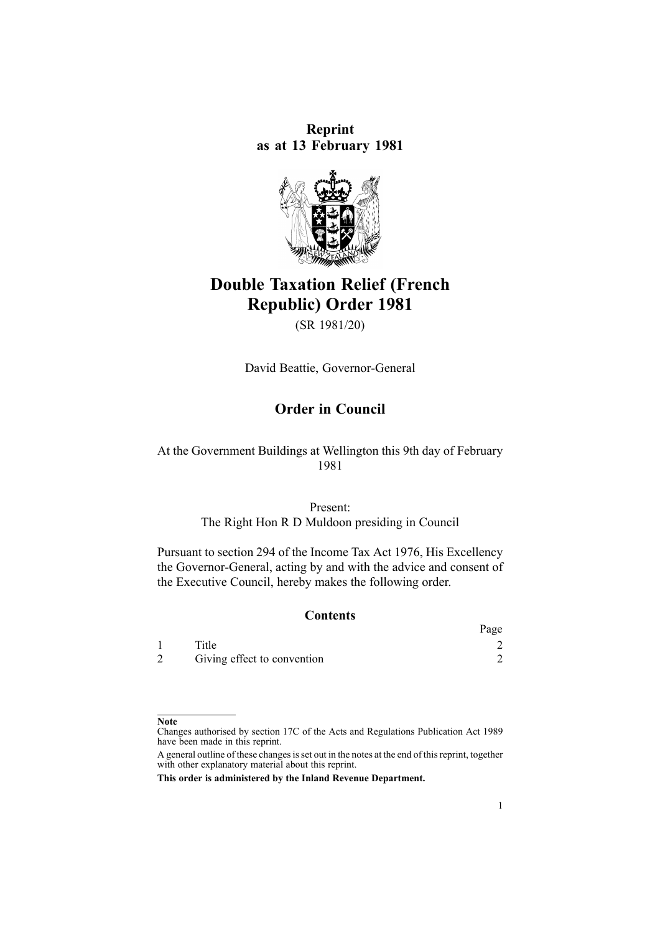**Reprint as at 13 February 1981**



# **Double Taxation Relief (French Republic) Order 1981**

(SR 1981/20)

David Beattie, Governor-General

# **Order in Council**

## At the Government Buildings at Wellington this 9th day of February 1981

# Present:

The Right Hon R D Muldoon presiding in Council

Pursuant to section 294 of the Income Tax Act 1976, His Excellency the Governor-General, acting by and with the advice and consent of the Executive Council, hereby makes the following order.

#### **Contents**

|                             | Page |
|-----------------------------|------|
| Title                       |      |
| Giving effect to convention |      |

#### **Note**

Changes authorised by [section](http://www.legislation.govt.nz/pdflink.aspx?id=DLM195466) 17C of the Acts and Regulations Publication Act 1989 have been made in this reprint.

A general outline of these changes is set out in the notes at the end of this reprint, together with other explanatory material about this reprint.

**This order is administered by the Inland Revenue Department.**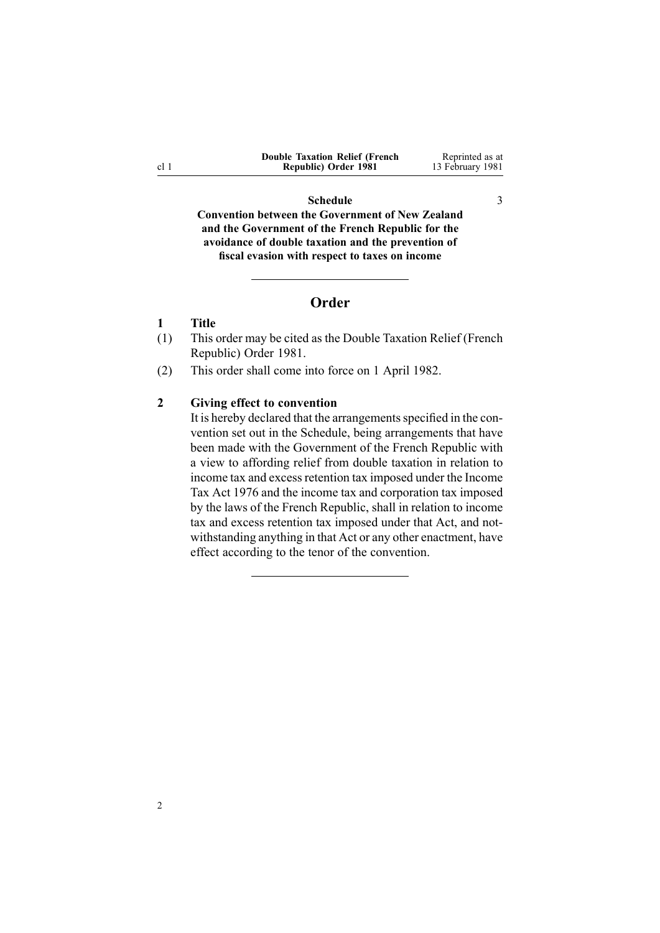<span id="page-1-0"></span>

| <b>Double Taxation Relief (French)</b> | Reprinted as at  |
|----------------------------------------|------------------|
| Republic) Order 1981                   | 13 February 1981 |

#### **[Schedule](#page-2-0)** [3](#page-2-0)

**Convention between the [Government](#page-2-0) of New Zealand and the [Government](#page-2-0) of the French Republic for the [avoidance](#page-2-0) of double taxation and the prevention of fiscal [evasion](#page-2-0) with respect to taxes on income**

### **Order**

## **1 Title**

2

- (1) This order may be cited as the Double Taxation Relief (French Republic) Order 1981.
- (2) This order shall come into force on 1 April 1982.

#### **2 Giving effect to convention**

It is hereby declared that the arrangements specified in the convention set out in the [Schedule](#page-2-0), being arrangements that have been made with the Government of the French Republic with <sup>a</sup> view to affording relief from double taxation in relation to income tax and excess retention tax imposed under the Income Tax Act 1976 and the income tax and corporation tax imposed by the laws of the French Republic, shall in relation to income tax and excess retention tax imposed under that Act, and notwithstanding anything in that Act or any other enactment, have effect according to the tenor of the convention.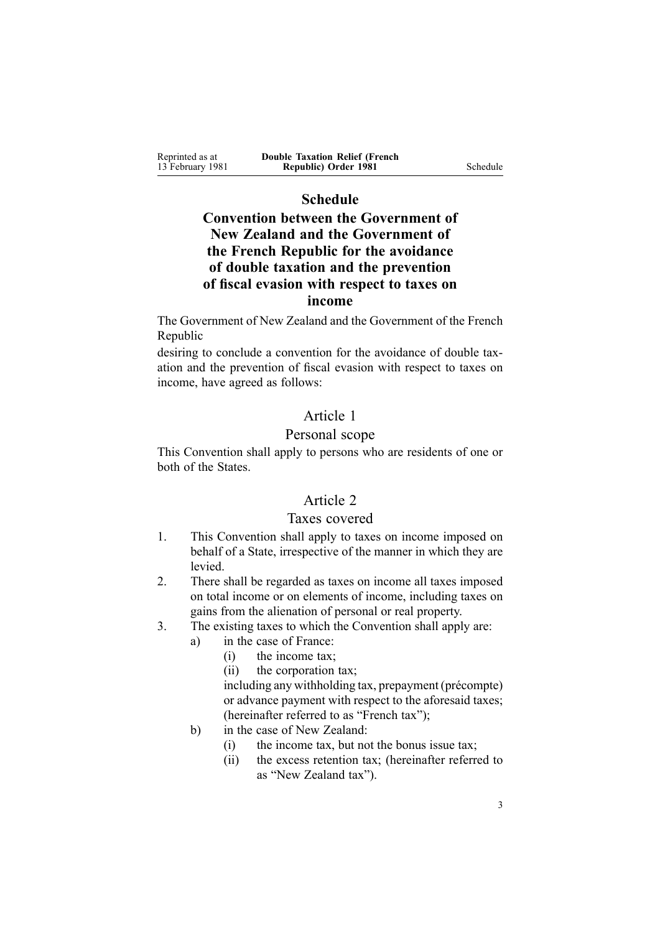<span id="page-2-0"></span>Reprinted as at 13 February 1981 **Double Taxation Relief (French Republic) Order 1981** Schedule

# **Schedule**

# **Convention between the Government of New Zealand and the Government of the French Republic for the avoidance of double taxation and the prevention of fiscal evasion with respect to taxes on income**

The Government of New Zealand and the Government of the French Republic

desiring to conclude <sup>a</sup> convention for the avoidance of double taxation and the prevention of fiscal evasion with respec<sup>t</sup> to taxes on income, have agreed as follows:

# Article 1

# Personal scope

This Convention shall apply to persons who are residents of one or both of the States.

# Article 2

## Taxes covered

- 1. This Convention shall apply to taxes on income imposed on behalf of <sup>a</sup> State, irrespective of the manner in which they are levied.
- 2. There shall be regarded as taxes on income all taxes imposed on total income or on elements of income, including taxes on gains from the alienation of personal or real property.
- 3. The existing taxes to which the Convention shall apply are:
	- a) in the case of France:
		- (i) the income tax;
		- (ii) the corporation tax;

including any withholding tax, prepaymen<sup>t</sup> (précompte) or advance paymen<sup>t</sup> with respec<sup>t</sup> to the aforesaid taxes; (hereinafter referred to as "French tax");

- b) in the case of New Zealand:
	- (i) the income tax, but not the bonus issue tax;
	- (ii) the excess retention tax; (hereinafter referred to as "New Zealand tax").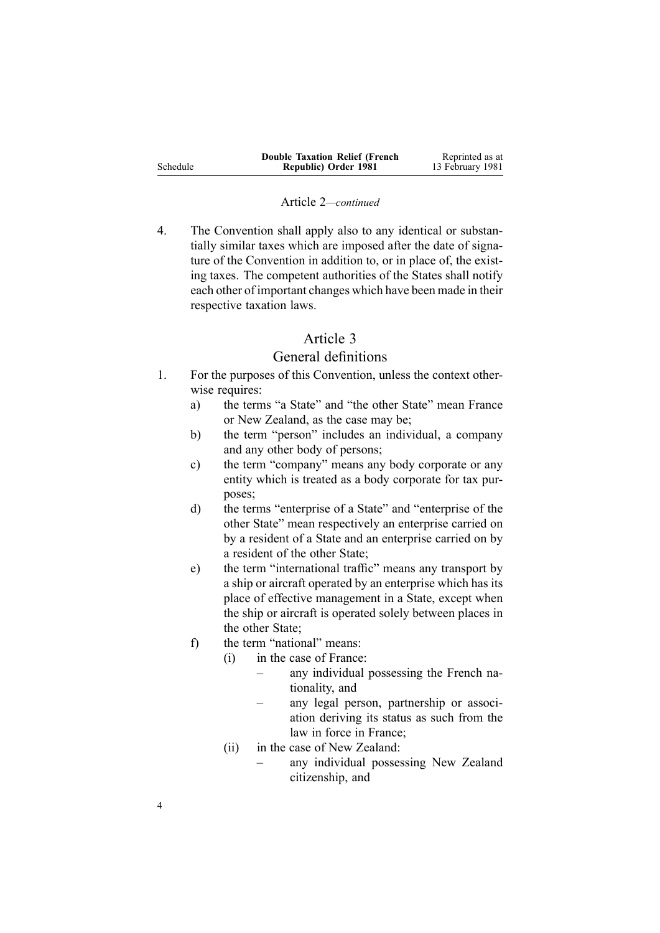|          | <b>Double Taxation Relief (French)</b> | Reprinted as at  |
|----------|----------------------------------------|------------------|
| Schedule | Republic) Order 1981                   | 13 February 1981 |

#### Article 2*—continued*

4. The Convention shall apply also to any identical or substantially similar taxes which are imposed after the date of signature of the Convention in addition to, or in place of, the existing taxes. The competent authorities of the States shall notify each other of important changes which have been made in their respective taxation laws.

# Article 3

## General definitions

- 1. For the purposes of this Convention, unless the context otherwise requires:
	- a) the terms "a State" and "the other State" mean France or New Zealand, as the case may be;
	- b) the term "person" includes an individual, <sup>a</sup> company and any other body of persons;
	- c) the term "company" means any body corporate or any entity which is treated as <sup>a</sup> body corporate for tax purposes;
	- d) the terms "enterprise of <sup>a</sup> State" and "enterprise of the other State" mean respectively an enterprise carried on by <sup>a</sup> resident of <sup>a</sup> State and an enterprise carried on by <sup>a</sup> resident of the other State;
	- e) the term "international traffic" means any transport by <sup>a</sup> ship or aircraft operated by an enterprise which has its place of effective managemen<sup>t</sup> in <sup>a</sup> State, excep<sup>t</sup> when the ship or aircraft is operated solely between places in the other State;
	- f) the term "national" means:
		- (i) in the case of France:
			- – any individual possessing the French nationality, and
				- any legal person, partnership or association deriving its status as such from the law in force in France;
		- (ii) in the case of New Zealand:
			- any individual possessing New Zealand citizenship, and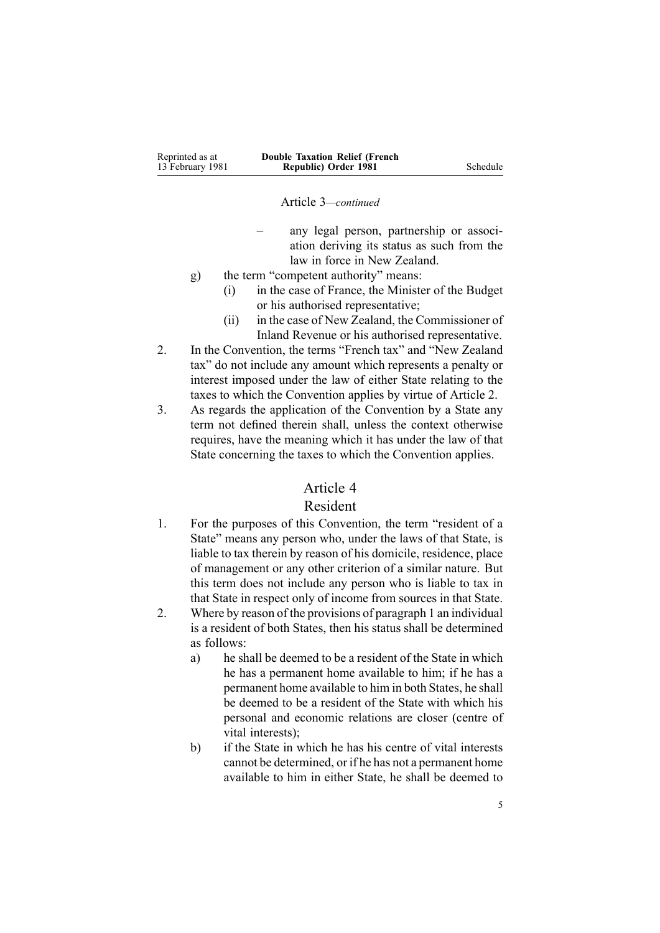| Reprinted as at  | <b>Double Taxation Relief (French)</b> |          |
|------------------|----------------------------------------|----------|
| 13 February 1981 | Republic) Order 1981                   | Schedule |

Article 3*—continued*

- any legal person, partnership or association deriving its status as such from the law in force in New Zealand.
- g) the term "competent authority" means:
	- (i) in the case of France, the Minister of the Budget or his authorised representative;
	- (ii) in the case of New Zealand, the Commissioner of Inland Revenue or his authorised representative.
- 2. In the Convention, the terms "French tax" and "New Zealand tax" do not include any amount which represents <sup>a</sup> penalty or interest imposed under the law of either State relating to the taxes to which the Convention applies by virtue of Article 2.
- 3. As regards the application of the Convention by <sup>a</sup> State any term not defined therein shall, unless the context otherwise requires, have the meaning which it has under the law of that State concerning the taxes to which the Convention applies.

## Article 4

# Resident

- 1. For the purposes of this Convention, the term "resident of <sup>a</sup> State" means any person who, under the laws of that State, is liable to tax therein by reason of his domicile, residence, place of managemen<sup>t</sup> or any other criterion of <sup>a</sup> similar nature. But this term does not include any person who is liable to tax in that State in respec<sup>t</sup> only of income from sources in that State.
- 2. Where by reason of the provisions of paragraph 1 an individual is <sup>a</sup> resident of both States, then his status shall be determined as follows:
	- a) he shall be deemed to be <sup>a</sup> resident of the State in which he has <sup>a</sup> permanen<sup>t</sup> home available to him; if he has <sup>a</sup> permanen<sup>t</sup> home available to him in both States, he shall be deemed to be <sup>a</sup> resident of the State with which his personal and economic relations are closer (centre of vital interests);
	- b) if the State in which he has his centre of vital interests cannot be determined, or if he has not <sup>a</sup> permanen<sup>t</sup> home available to him in either State, he shall be deemed to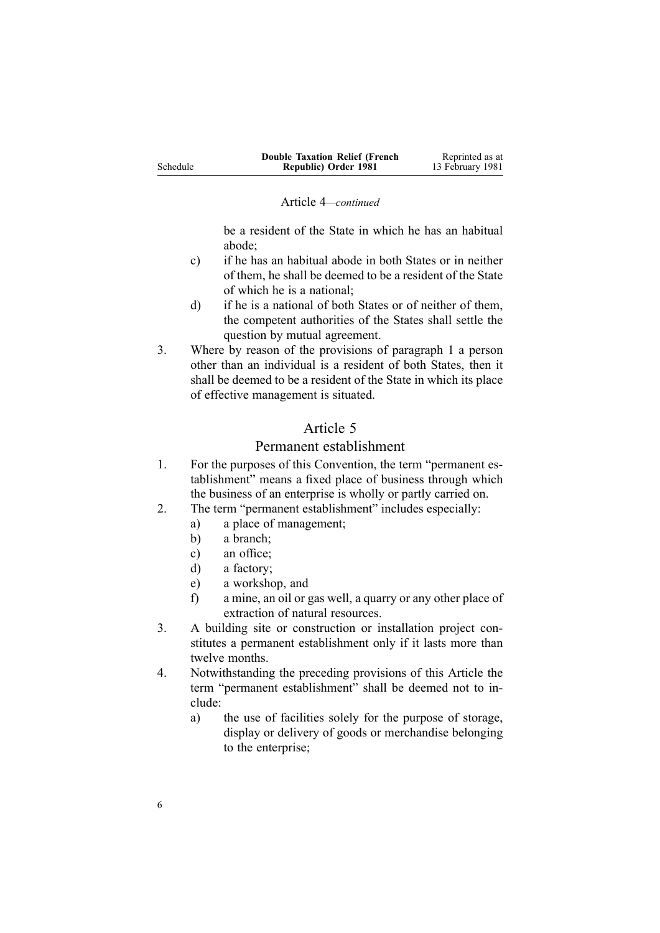|          | <b>Double Taxation Relief (French)</b> | Reprinted as at  |
|----------|----------------------------------------|------------------|
| Schedule | Republic) Order 1981                   | 13 February 1981 |

#### Article 4*—continued*

be <sup>a</sup> resident of the State in which he has an habitual abode;

- c) if he has an habitual abode in both States or in neither of them, he shall be deemed to be <sup>a</sup> resident of the State of which he is <sup>a</sup> national;
- d) if he is <sup>a</sup> national of both States or of neither of them, the competent authorities of the States shall settle the question by mutual agreement.
- 3. Where by reason of the provisions of paragraph 1 <sup>a</sup> person other than an individual is <sup>a</sup> resident of both States, then it shall be deemed to be <sup>a</sup> resident of the State in which its place of effective managemen<sup>t</sup> is situated.

# Article 5

### Permanent establishment

- 1. For the purposes of this Convention, the term "permanent establishment" means <sup>a</sup> fixed place of business through which the business of an enterprise is wholly or partly carried on.
- 2. The term "permanent establishment" includes especially:
	- a) <sup>a</sup> place of management;
	- b) <sup>a</sup> branch;
	- c) an office;
	- d) <sup>a</sup> factory;
	- e) <sup>a</sup> workshop, and
	- f) <sup>a</sup> mine, an oil or gas well, <sup>a</sup> quarry or any other place of extraction of natural resources.
- 3. A building site or construction or installation project constitutes <sup>a</sup> permanen<sup>t</sup> establishment only if it lasts more than twelve months.
- 4. Notwithstanding the preceding provisions of this Article the term "permanent establishment" shall be deemed not to include:
	- a) the use of facilities solely for the purpose of storage, display or delivery of goods or merchandise belonging to the enterprise;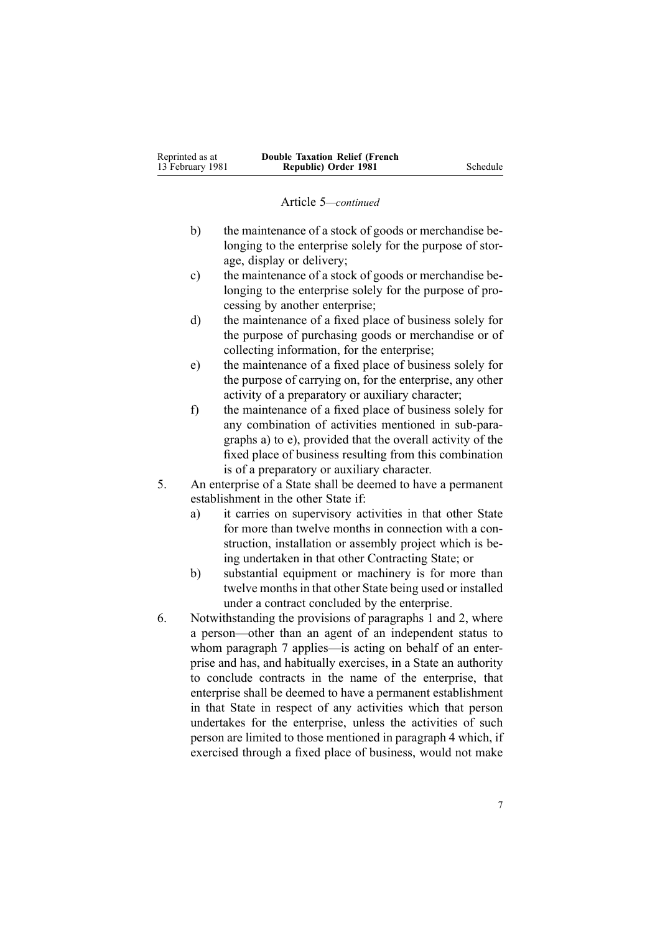#### Article 5*—continued*

- b) the maintenance of <sup>a</sup> stock of goods or merchandise belonging to the enterprise solely for the purpose of storage, display or delivery;
- c) the maintenance of <sup>a</sup> stock of goods or merchandise belonging to the enterprise solely for the purpose of processing by another enterprise;
- d) the maintenance of <sup>a</sup> fixed place of business solely for the purpose of purchasing goods or merchandise or of collecting information, for the enterprise;
- e) the maintenance of <sup>a</sup> fixed place of business solely for the purpose of carrying on, for the enterprise, any other activity of <sup>a</sup> preparatory or auxiliary character;
- f) the maintenance of <sup>a</sup> fixed place of business solely for any combination of activities mentioned in sub-paragraphs a) to e), provided that the overall activity of the fixed place of business resulting from this combination is of <sup>a</sup> preparatory or auxiliary character.
- 5. An enterprise of <sup>a</sup> State shall be deemed to have <sup>a</sup> permanen<sup>t</sup> establishment in the other State if:
	- a) it carries on supervisory activities in that other State for more than twelve months in connection with <sup>a</sup> construction, installation or assembly project which is being undertaken in that other Contracting State; or
	- b) substantial equipment or machinery is for more than twelve months in that other State being used or installed under <sup>a</sup> contract concluded by the enterprise.
- 6. Notwithstanding the provisions of paragraphs 1 and 2, where <sup>a</sup> person—other than an agen<sup>t</sup> of an independent status to whom paragraph 7 applies—is acting on behalf of an enterprise and has, and habitually exercises, in <sup>a</sup> State an authority to conclude contracts in the name of the enterprise, that enterprise shall be deemed to have <sup>a</sup> permanen<sup>t</sup> establishment in that State in respec<sup>t</sup> of any activities which that person undertakes for the enterprise, unless the activities of such person are limited to those mentioned in paragraph 4 which, if exercised through <sup>a</sup> fixed place of business, would not make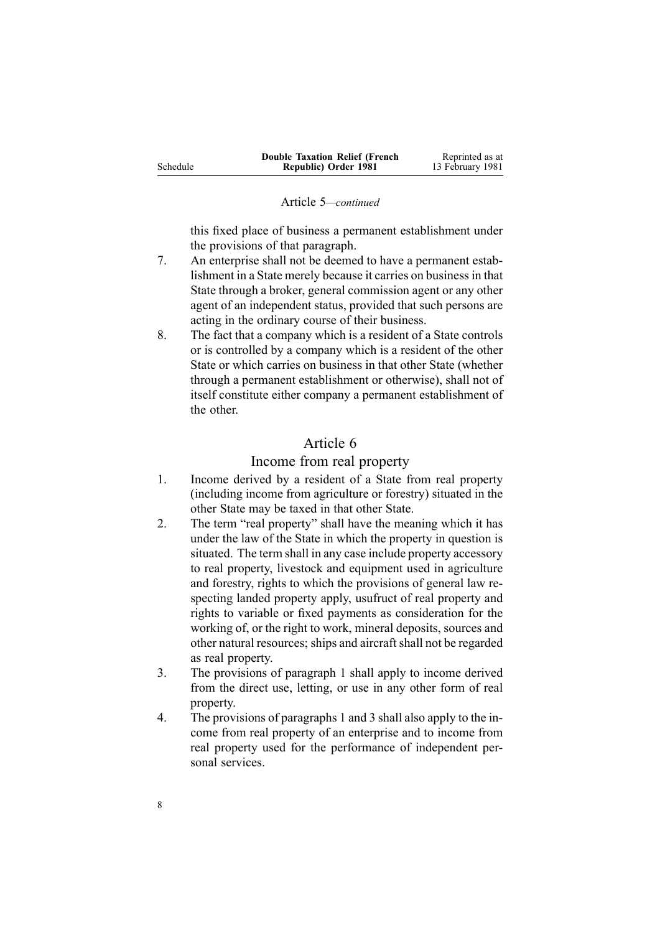|          | <b>Double Taxation Relief (French</b> | Reprinted as at  |
|----------|---------------------------------------|------------------|
| Schedule | Republic) Order 1981                  | 13 February 1981 |

#### Article 5*—continued*

this fixed place of business <sup>a</sup> permanen<sup>t</sup> establishment under the provisions of that paragraph.

- 7. An enterprise shall not be deemed to have <sup>a</sup> permanen<sup>t</sup> establishment in a State merely because it carries on business in that State through <sup>a</sup> broker, general commission agen<sup>t</sup> or any other agen<sup>t</sup> of an independent status, provided that such persons are acting in the ordinary course of their business.
- 8. The fact that <sup>a</sup> company which is <sup>a</sup> resident of <sup>a</sup> State controls or is controlled by <sup>a</sup> company which is <sup>a</sup> resident of the other State or which carries on business in that other State (whether through <sup>a</sup> permanen<sup>t</sup> establishment or otherwise), shall not of itself constitute either company <sup>a</sup> permanen<sup>t</sup> establishment of the other.

# Article 6

## Income from real property

- 1. Income derived by <sup>a</sup> resident of <sup>a</sup> State from real property (including income from agriculture or forestry) situated in the other State may be taxed in that other State.
- 2. The term "real property" shall have the meaning which it has under the law of the State in which the property in question is situated. The term shall in any case include property accessory to real property, livestock and equipment used in agriculture and forestry, rights to which the provisions of general law respecting landed property apply, usufruct of real property and rights to variable or fixed payments as consideration for the working of, or the right to work, mineral deposits, sources and other natural resources; ships and aircraft shall not be regarded as real property.
- 3. The provisions of paragraph 1 shall apply to income derived from the direct use, letting, or use in any other form of real property.
- 4. The provisions of paragraphs 1 and 3 shall also apply to the income from real property of an enterprise and to income from real property used for the performance of independent personal services.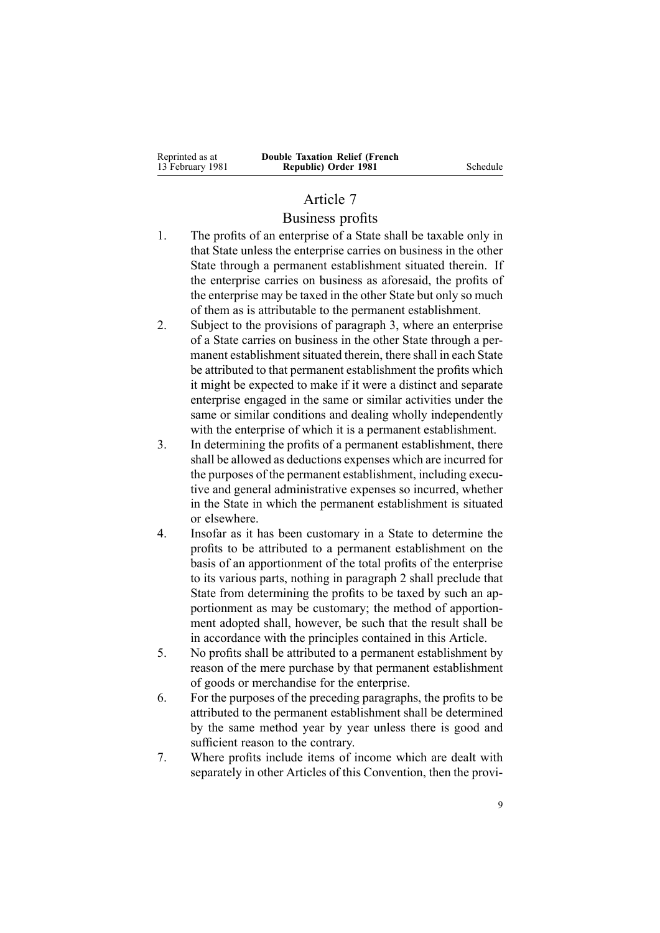**Republic) Order 1981** Schedule

## Article 7

## Business profits

- 1. The profits of an enterprise of <sup>a</sup> State shall be taxable only in that State unless the enterprise carries on business in the other State through <sup>a</sup> permanen<sup>t</sup> establishment situated therein. If the enterprise carries on business as aforesaid, the profits of the enterprise may be taxed in the other State but only so much of them as is attributable to the permanen<sup>t</sup> establishment.
- 2. Subject to the provisions of paragraph 3, where an enterprise of <sup>a</sup> State carries on business in the other State through <sup>a</sup> permanent establishment situated therein, there shall in each State be attributed to that permanen<sup>t</sup> establishment the profits which it might be expected to make if it were <sup>a</sup> distinct and separate enterprise engaged in the same or similar activities under the same or similar conditions and dealing wholly independently with the enterprise of which it is <sup>a</sup> permanen<sup>t</sup> establishment.
- 3. In determining the profits of <sup>a</sup> permanen<sup>t</sup> establishment, there shall be allowed as deductions expenses which are incurred for the purposes of the permanen<sup>t</sup> establishment, including executive and general administrative expenses so incurred, whether in the State in which the permanen<sup>t</sup> establishment is situated or elsewhere.
- 4. Insofar as it has been customary in <sup>a</sup> State to determine the profits to be attributed to <sup>a</sup> permanen<sup>t</sup> establishment on the basis of an apportionment of the total profits of the enterprise to its various parts, nothing in paragraph 2 shall preclude that State from determining the profits to be taxed by such an apportionment as may be customary; the method of apportionment adopted shall, however, be such that the result shall be in accordance with the principles contained in this Article.
- 5. No profits shall be attributed to <sup>a</sup> permanen<sup>t</sup> establishment by reason of the mere purchase by that permanen<sup>t</sup> establishment of goods or merchandise for the enterprise.
- 6. For the purposes of the preceding paragraphs, the profits to be attributed to the permanen<sup>t</sup> establishment shall be determined by the same method year by year unless there is good and sufficient reason to the contrary.
- 7. Where profits include items of income which are dealt with separately in other Articles of this Convention, then the provi-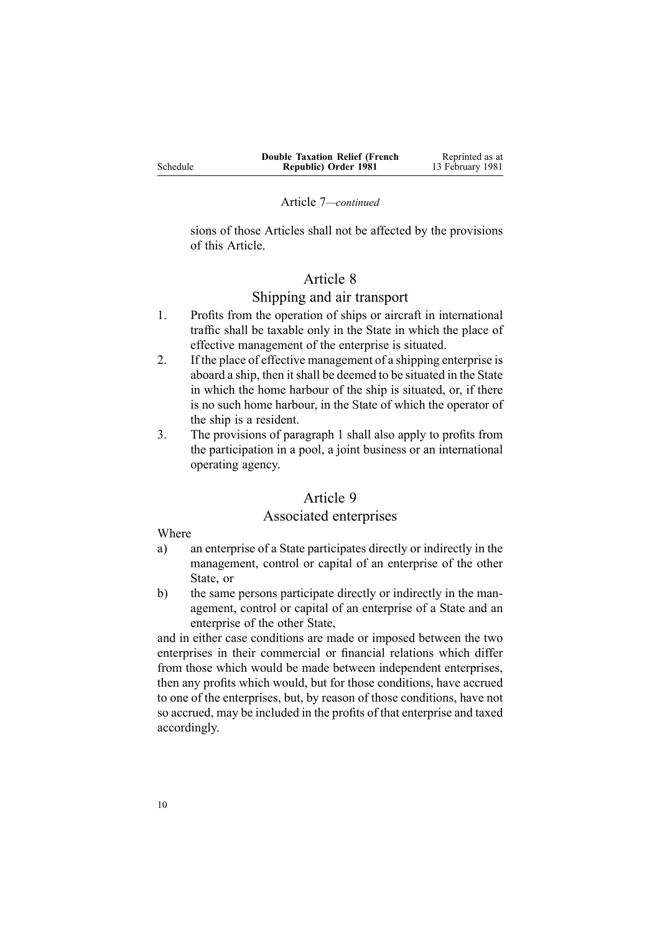|          | <b>Double Taxation Relief (French)</b> | Reprinted as at  |
|----------|----------------------------------------|------------------|
| Schedule | Republic) Order 1981                   | 13 February 1981 |

#### Article 7*—continued*

sions of those Articles shall not be affected by the provisions of this Article.

# Article 8

## Shipping and air transport

- 1. Profits from the operation of ships or aircraft in international traffic shall be taxable only in the State in which the place of effective managemen<sup>t</sup> of the enterprise is situated.
- 2. If the place of effective managemen<sup>t</sup> of <sup>a</sup> shipping enterprise is aboard <sup>a</sup> ship, then itshall be deemed to be situated in the State in which the home harbour of the ship is situated, or, if there is no such home harbour, in the State of which the operator of the ship is <sup>a</sup> resident.
- 3. The provisions of paragraph 1 shall also apply to profits from the participation in <sup>a</sup> pool, <sup>a</sup> joint business or an international operating agency.

# Article 9

# Associated enterprises

Where

- a) an enterprise of <sup>a</sup> State participates directly or indirectly in the management, control or capital of an enterprise of the other State, or
- b) the same persons participate directly or indirectly in the management, control or capital of an enterprise of <sup>a</sup> State and an enterprise of the other State,

and in either case conditions are made or imposed between the two enterprises in their commercial or financial relations which differ from those which would be made between independent enterprises, then any profits which would, but for those conditions, have accrued to one of the enterprises, but, by reason of those conditions, have not so accrued, may be included in the profits of that enterprise and taxed accordingly.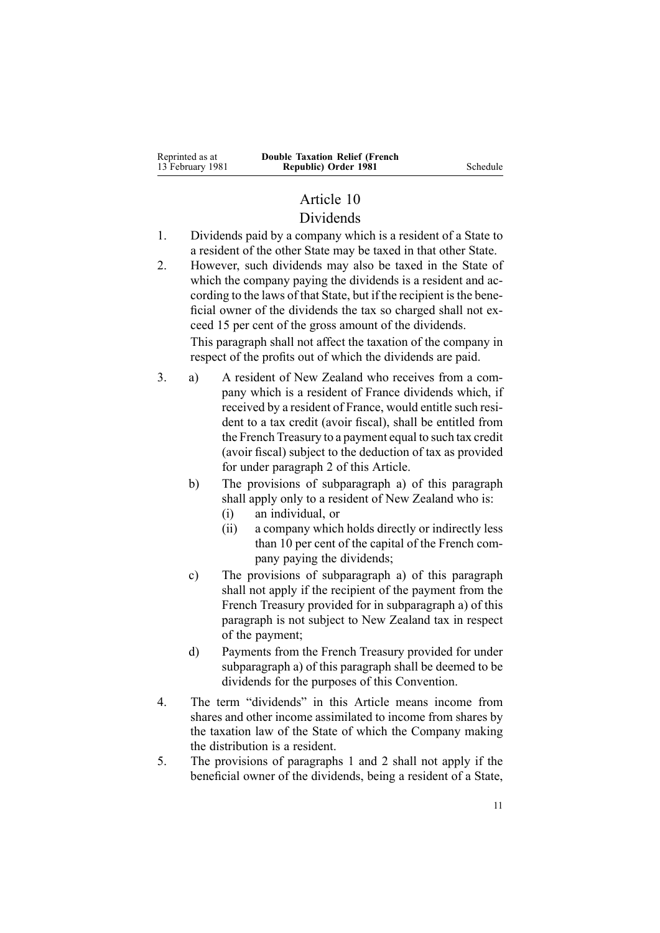# Article 10

# Dividends

- 1. Dividends paid by <sup>a</sup> company which is <sup>a</sup> resident of <sup>a</sup> State to <sup>a</sup> resident of the other State may be taxed in that other State.
- 2. However, such dividends may also be taxed in the State of which the company paying the dividends is <sup>a</sup> resident and according to the laws of that State, but if the recipient is the beneficial owner of the dividends the tax so charged shall not exceed 15 per cent of the gross amount of the dividends. This paragraph shall not affect the taxation of the company in

respec<sup>t</sup> of the profits out of which the dividends are paid.

- 3. a) A resident of New Zealand who receives from <sup>a</sup> company which is <sup>a</sup> resident of France dividends which, if received by <sup>a</sup> resident of France, would entitle such resident to <sup>a</sup> tax credit (avoir fiscal), shall be entitled from the French Treasury to <sup>a</sup> paymen<sup>t</sup> equal to such tax credit (avoir fiscal) subject to the deduction of tax as provided for under paragraph 2 of this Article.
	- b) The provisions of subparagraph a) of this paragraph shall apply only to <sup>a</sup> resident of New Zealand who is:
		- (i) an individual, or
		- (ii) <sup>a</sup> company which holds directly or indirectly less than 10 per cent of the capital of the French company paying the dividends;
	- c) The provisions of subparagraph a) of this paragraph shall not apply if the recipient of the paymen<sup>t</sup> from the French Treasury provided for in subparagraph a) of this paragraph is not subject to New Zealand tax in respec<sup>t</sup> of the payment;
	- d) Payments from the French Treasury provided for under subparagraph a) of this paragraph shall be deemed to be dividends for the purposes of this Convention.
- 4. The term "dividends" in this Article means income from shares and other income assimilated to income from shares by the taxation law of the State of which the Company making the distribution is <sup>a</sup> resident.
- 5. The provisions of paragraphs 1 and 2 shall not apply if the beneficial owner of the dividends, being <sup>a</sup> resident of <sup>a</sup> State,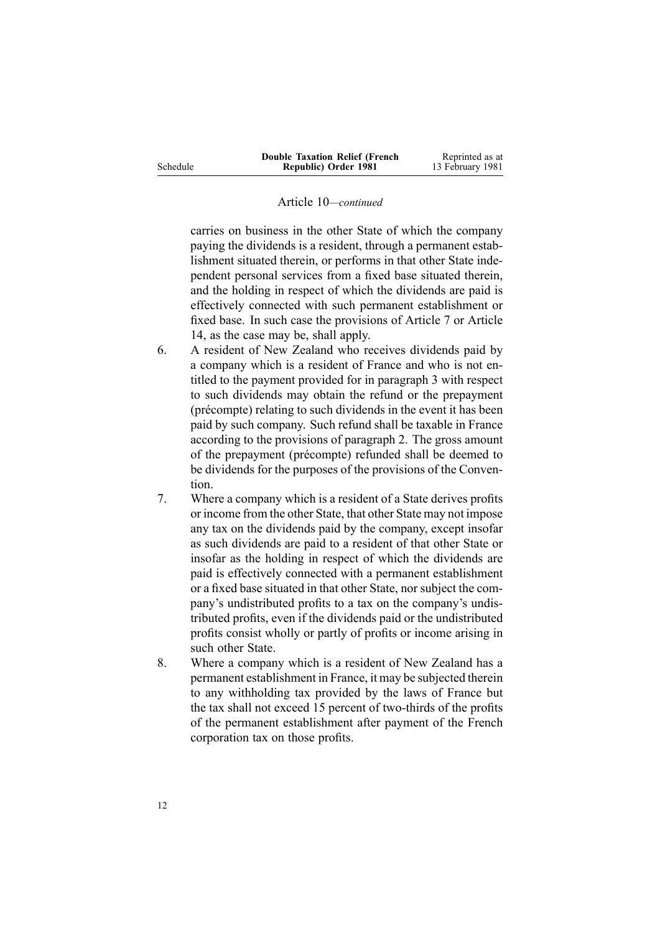|          | <b>Double Taxation Relief (French)</b> | Reprinted as at  |
|----------|----------------------------------------|------------------|
| Schedule | Republic) Order 1981                   | 13 February 1981 |

#### Article 10*—continued*

carries on business in the other State of which the company paying the dividends is <sup>a</sup> resident, through <sup>a</sup> permanen<sup>t</sup> establishment situated therein, or performs in that other State independent personal services from <sup>a</sup> fixed base situated therein, and the holding in respec<sup>t</sup> of which the dividends are paid is effectively connected with such permanen<sup>t</sup> establishment or fixed base. In such case the provisions of Article 7 or Article 14, as the case may be, shall apply.

- 6. A resident of New Zealand who receives dividends paid by <sup>a</sup> company which is <sup>a</sup> resident of France and who is not entitled to the paymen<sup>t</sup> provided for in paragraph 3 with respec<sup>t</sup> to such dividends may obtain the refund or the prepaymen<sup>t</sup> (précompte) relating to such dividends in the event it has been paid by such company. Such refund shall be taxable in France according to the provisions of paragraph 2. The gross amount of the prepaymen<sup>t</sup> (précompte) refunded shall be deemed to be dividends for the purposes of the provisions of the Convention.
- 7. Where <sup>a</sup> company which is <sup>a</sup> resident of <sup>a</sup> State derives profits or income from the other State, that other State may not impose any tax on the dividends paid by the company, excep<sup>t</sup> insofar as such dividends are paid to <sup>a</sup> resident of that other State or insofar as the holding in respec<sup>t</sup> of which the dividends are paid is effectively connected with <sup>a</sup> permanen<sup>t</sup> establishment or <sup>a</sup> fixed base situated in that other State, nor subject the company's undistributed profits to <sup>a</sup> tax on the company's undistributed profits, even if the dividends paid or the undistributed profits consist wholly or partly of profits or income arising in such other State.
- 8. Where <sup>a</sup> company which is <sup>a</sup> resident of New Zealand has <sup>a</sup> permanen<sup>t</sup> establishment in France, it may be subjected therein to any withholding tax provided by the laws of France but the tax shall not exceed 15 percen<sup>t</sup> of two-thirds of the profits of the permanen<sup>t</sup> establishment after paymen<sup>t</sup> of the French corporation tax on those profits.

12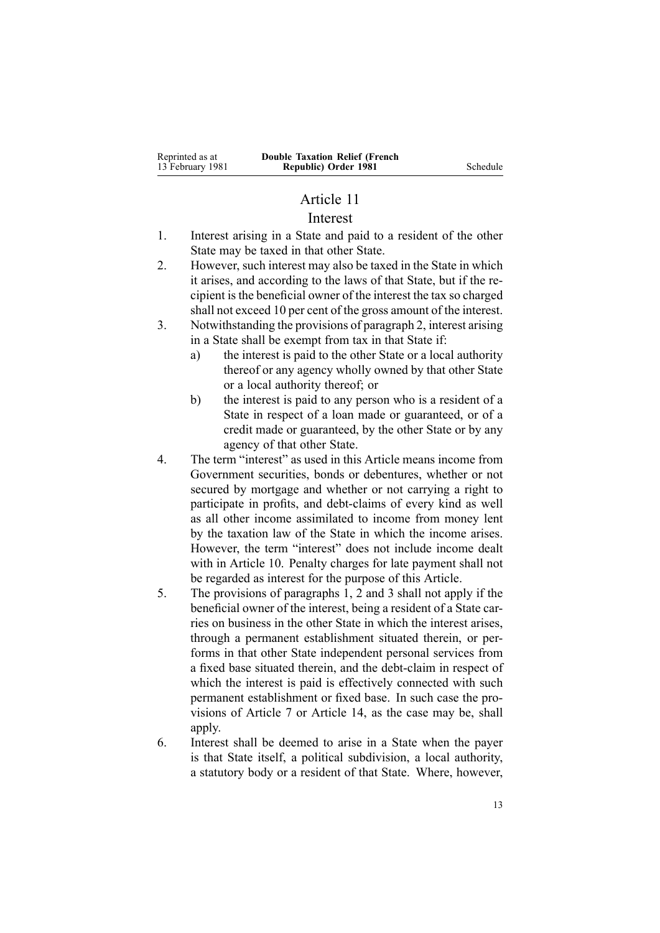# Article 11

### Interest

- 1. Interest arising in <sup>a</sup> State and paid to <sup>a</sup> resident of the other State may be taxed in that other State.
- 2. However, such interest may also be taxed in the State in which it arises, and according to the laws of that State, but if the recipient isthe beneficial owner of the interest the tax so charged shall not exceed 10 per cent of the gross amount of the interest.
- 3. Notwithstanding the provisions of paragraph 2, interest arising in <sup>a</sup> State shall be exemp<sup>t</sup> from tax in that State if:
	- a) the interest is paid to the other State or <sup>a</sup> local authority thereof or any agency wholly owned by that other State or <sup>a</sup> local authority thereof; or
	- b) the interest is paid to any person who is <sup>a</sup> resident of <sup>a</sup> State in respec<sup>t</sup> of <sup>a</sup> loan made or guaranteed, or of <sup>a</sup> credit made or guaranteed, by the other State or by any agency of that other State.
- 4. The term "interest" as used in this Article means income from Government securities, bonds or debentures, whether or not secured by mortgage and whether or not carrying <sup>a</sup> right to participate in profits, and debt-claims of every kind as well as all other income assimilated to income from money lent by the taxation law of the State in which the income arises. However, the term "interest" does not include income dealt with in Article 10. Penalty charges for late paymen<sup>t</sup> shall not be regarded as interest for the purpose of this Article.
- 5. The provisions of paragraphs 1, 2 and 3 shall not apply if the beneficial owner of the interest, being <sup>a</sup> resident of <sup>a</sup> State carries on business in the other State in which the interest arises, through <sup>a</sup> permanen<sup>t</sup> establishment situated therein, or performs in that other State independent personal services from <sup>a</sup> fixed base situated therein, and the debt-claim in respec<sup>t</sup> of which the interest is paid is effectively connected with such permanen<sup>t</sup> establishment or fixed base. In such case the provisions of Article 7 or Article 14, as the case may be, shall apply.
- 6. Interest shall be deemed to arise in <sup>a</sup> State when the payer is that State itself, <sup>a</sup> political subdivision, <sup>a</sup> local authority, <sup>a</sup> statutory body or <sup>a</sup> resident of that State. Where, however,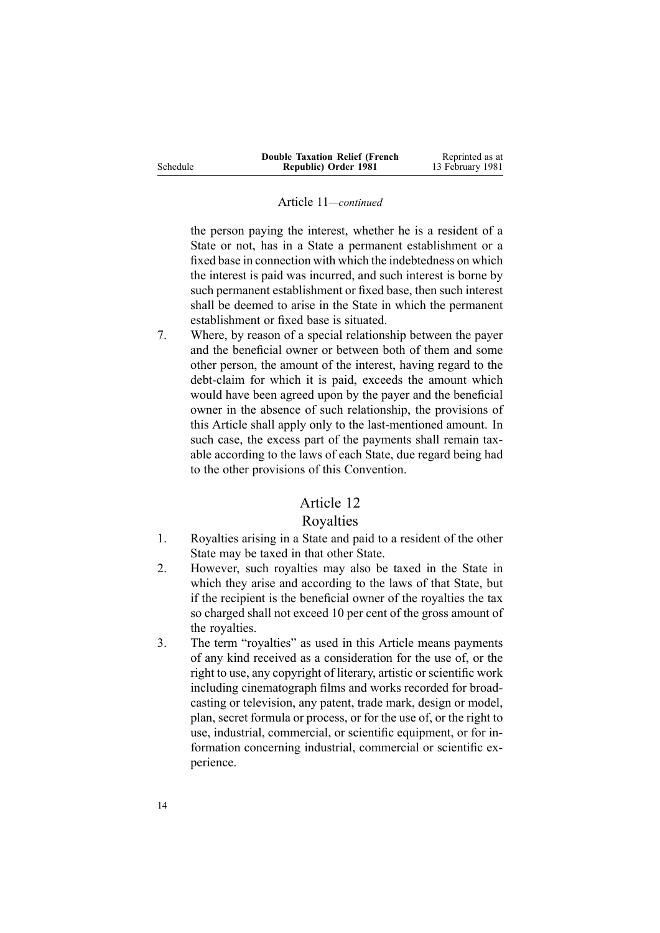|          | <b>Double Taxation Relief (French)</b> | Reprinted as at  |
|----------|----------------------------------------|------------------|
| Schedule | Republic) Order 1981                   | 13 February 1981 |

#### Article 11*—continued*

the person paying the interest, whether he is <sup>a</sup> resident of <sup>a</sup> State or not, has in <sup>a</sup> State <sup>a</sup> permanen<sup>t</sup> establishment or <sup>a</sup> fixed base in connection with which the indebtedness on which the interest is paid was incurred, and such interest is borne by such permanen<sup>t</sup> establishment or fixed base, then such interest shall be deemed to arise in the State in which the permanen<sup>t</sup> establishment or fixed base is situated.

7. Where, by reason of <sup>a</sup> special relationship between the payer and the beneficial owner or between both of them and some other person, the amount of the interest, having regard to the debt-claim for which it is paid, exceeds the amount which would have been agreed upon by the payer and the beneficial owner in the absence of such relationship, the provisions of this Article shall apply only to the last-mentioned amount. In such case, the excess par<sup>t</sup> of the payments shall remain taxable according to the laws of each State, due regard being had to the other provisions of this Convention.

# Article 12

## Royalties

- 1. Royalties arising in <sup>a</sup> State and paid to <sup>a</sup> resident of the other State may be taxed in that other State.
- 2. However, such royalties may also be taxed in the State in which they arise and according to the laws of that State, but if the recipient is the beneficial owner of the royalties the tax so charged shall not exceed 10 per cent of the gross amount of the royalties.
- 3. The term "royalties" as used in this Article means payments of any kind received as <sup>a</sup> consideration for the use of, or the right to use, any copyright of literary, artistic orscientific work including cinematograph films and works recorded for broadcasting or television, any patent, trade mark, design or model, plan, secret formula or process, or for the use of, or the right to use, industrial, commercial, or scientific equipment, or for information concerning industrial, commercial or scientific experience.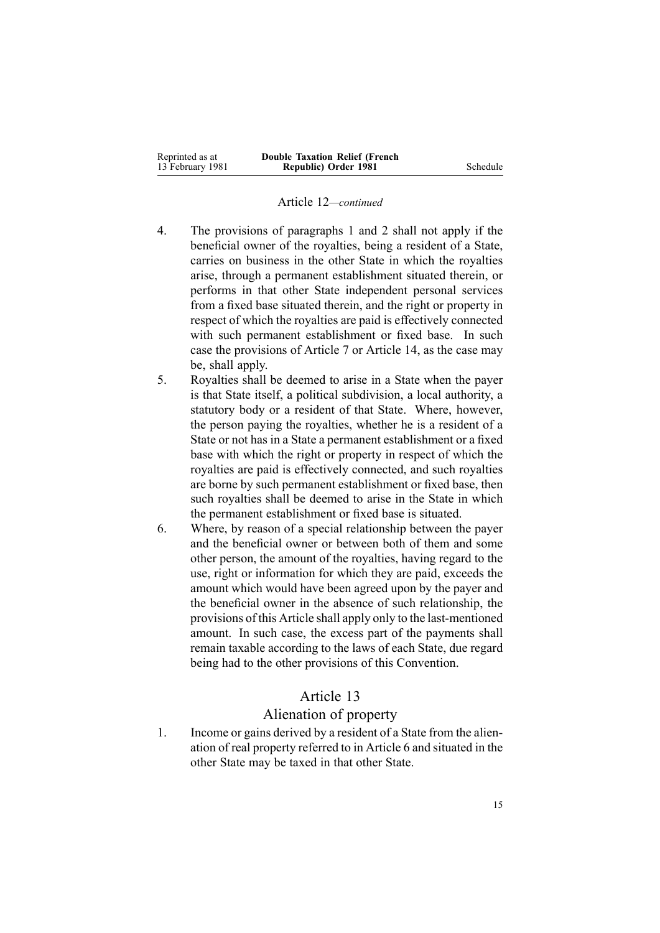| Reprinted as at  | <b>Double Taxation Relief (French)</b> |          |
|------------------|----------------------------------------|----------|
| 13 February 1981 | Republic) Order 1981                   | Schedule |

#### Article 12*—continued*

- 4. The provisions of paragraphs 1 and 2 shall not apply if the beneficial owner of the royalties, being <sup>a</sup> resident of <sup>a</sup> State, carries on business in the other State in which the royalties arise, through <sup>a</sup> permanen<sup>t</sup> establishment situated therein, or performs in that other State independent personal services from <sup>a</sup> fixed base situated therein, and the right or property in respec<sup>t</sup> of which the royalties are paid is effectively connected with such permanent establishment or fixed base. In such case the provisions of Article 7 or Article 14, as the case may be, shall apply.
- 5. Royalties shall be deemed to arise in <sup>a</sup> State when the payer is that State itself, <sup>a</sup> political subdivision, <sup>a</sup> local authority, <sup>a</sup> statutory body or <sup>a</sup> resident of that State. Where, however, the person paying the royalties, whether he is <sup>a</sup> resident of <sup>a</sup> State or not has in <sup>a</sup> State <sup>a</sup> permanen<sup>t</sup> establishment or <sup>a</sup> fixed base with which the right or property in respec<sup>t</sup> of which the royalties are paid is effectively connected, and such royalties are borne by such permanen<sup>t</sup> establishment or fixed base, then such royalties shall be deemed to arise in the State in which the permanen<sup>t</sup> establishment or fixed base is situated.
- 6. Where, by reason of <sup>a</sup> special relationship between the payer and the beneficial owner or between both of them and some other person, the amount of the royalties, having regard to the use, right or information for which they are paid, exceeds the amount which would have been agreed upon by the payer and the beneficial owner in the absence of such relationship, the provisions of this Article shall apply only to the last-mentioned amount. In such case, the excess par<sup>t</sup> of the payments shall remain taxable according to the laws of each State, due regard being had to the other provisions of this Convention.

#### Article 13

#### Alienation of property

1. Income or gains derived by <sup>a</sup> resident of <sup>a</sup> State from the alienation of real property referred to in Article 6 and situated in the other State may be taxed in that other State.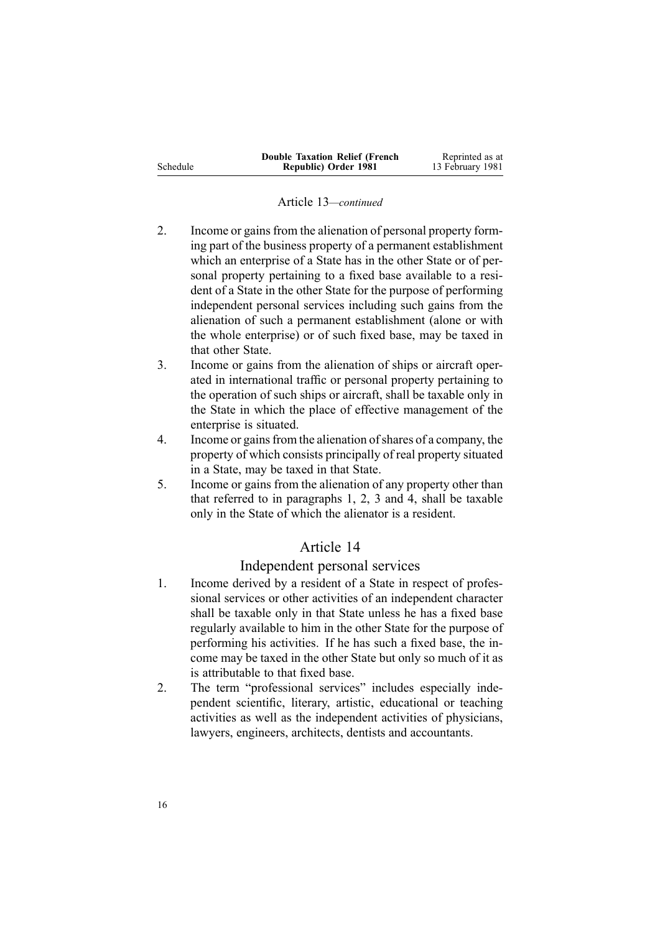|          | <b>Double Taxation Relief (French</b> | Reprinted as at  |
|----------|---------------------------------------|------------------|
| Schedule | Republic) Order 1981                  | 13 February 1981 |

#### Article 13*—continued*

- 2. Income or gains from the alienation of personal property forming par<sup>t</sup> of the business property of <sup>a</sup> permanen<sup>t</sup> establishment which an enterprise of <sup>a</sup> State has in the other State or of personal property pertaining to <sup>a</sup> fixed base available to <sup>a</sup> resident of <sup>a</sup> State in the other State for the purpose of performing independent personal services including such gains from the alienation of such <sup>a</sup> permanen<sup>t</sup> establishment (alone or with the whole enterprise) or of such fixed base, may be taxed in that other State.
- 3. Income or gains from the alienation of ships or aircraft operated in international traffic or personal property pertaining to the operation of such ships or aircraft, shall be taxable only in the State in which the place of effective managemen<sup>t</sup> of the enterprise is situated.
- 4. Income or gainsfrom the alienation ofshares of <sup>a</sup> company, the property of which consists principally of real property situated in <sup>a</sup> State, may be taxed in that State.
- 5. Income or gains from the alienation of any property other than that referred to in paragraphs 1, 2, 3 and 4, shall be taxable only in the State of which the alienator is <sup>a</sup> resident.

## Article 14

## Independent personal services

- 1. Income derived by <sup>a</sup> resident of <sup>a</sup> State in respec<sup>t</sup> of professional services or other activities of an independent character shall be taxable only in that State unless he has <sup>a</sup> fixed base regularly available to him in the other State for the purpose of performing his activities. If he has such <sup>a</sup> fixed base, the income may be taxed in the other State but only so much of it as is attributable to that fixed base.
- 2. The term "professional services" includes especially independent scientific, literary, artistic, educational or teaching activities as well as the independent activities of physicians, lawyers, engineers, architects, dentists and accountants.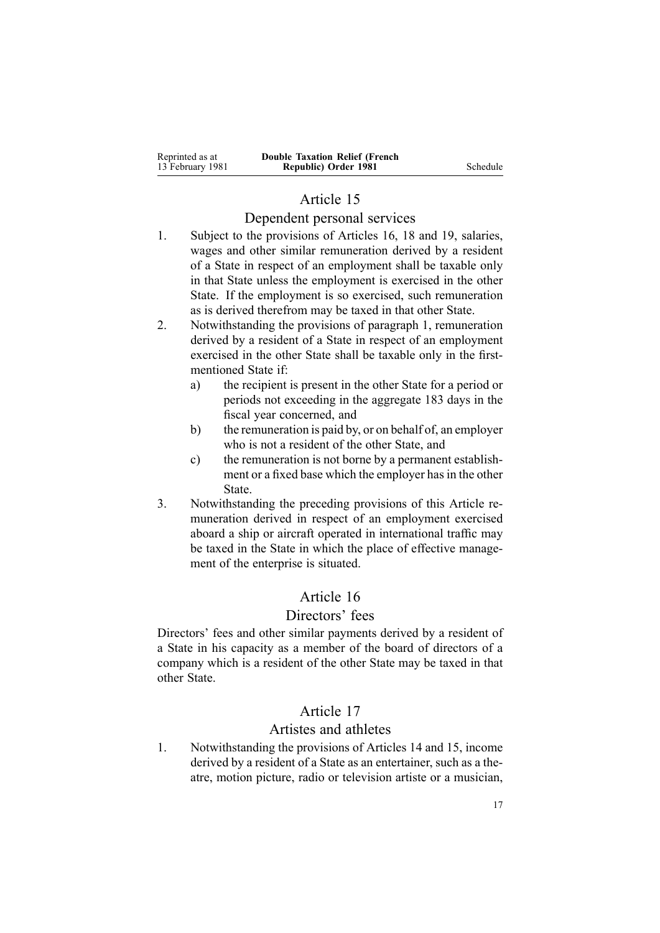| Reprinted as at  | <b>Double Taxation Relief (French</b> |
|------------------|---------------------------------------|
| 13 February 1981 | Republic) Order 1981                  |

**Republic) Order 1981** Schedule

# Article 15

# Dependent personal services

- 1. Subject to the provisions of Articles 16, 18 and 19, salaries, wages and other similar remuneration derived by <sup>a</sup> resident of <sup>a</sup> State in respec<sup>t</sup> of an employment shall be taxable only in that State unless the employment is exercised in the other State. If the employment is so exercised, such remuneration as is derived therefrom may be taxed in that other State.
- 2. Notwithstanding the provisions of paragraph 1, remuneration derived by <sup>a</sup> resident of <sup>a</sup> State in respec<sup>t</sup> of an employment exercised in the other State shall be taxable only in the firstmentioned State if:
	- a) the recipient is presen<sup>t</sup> in the other State for <sup>a</sup> period or periods not exceeding in the aggregate 183 days in the fiscal year concerned, and
	- b) the remuneration is paid by, or on behalf of, an employer who is not <sup>a</sup> resident of the other State, and
	- c) the remuneration is not borne by <sup>a</sup> permanen<sup>t</sup> establishment or a fixed base which the employer has in the other State.
- 3. Notwithstanding the preceding provisions of this Article remuneration derived in respec<sup>t</sup> of an employment exercised aboard <sup>a</sup> ship or aircraft operated in international traffic may be taxed in the State in which the place of effective management of the enterprise is situated.

# Article 16

## Directors' fees

Directors' fees and other similar payments derived by <sup>a</sup> resident of <sup>a</sup> State in his capacity as <sup>a</sup> member of the board of directors of <sup>a</sup> company which is <sup>a</sup> resident of the other State may be taxed in that other State.

# Article 17

#### Artistes and athletes

1. Notwithstanding the provisions of Articles 14 and 15, income derived by <sup>a</sup> resident of <sup>a</sup> State as an entertainer, such as <sup>a</sup> theatre, motion picture, radio or television artiste or <sup>a</sup> musician,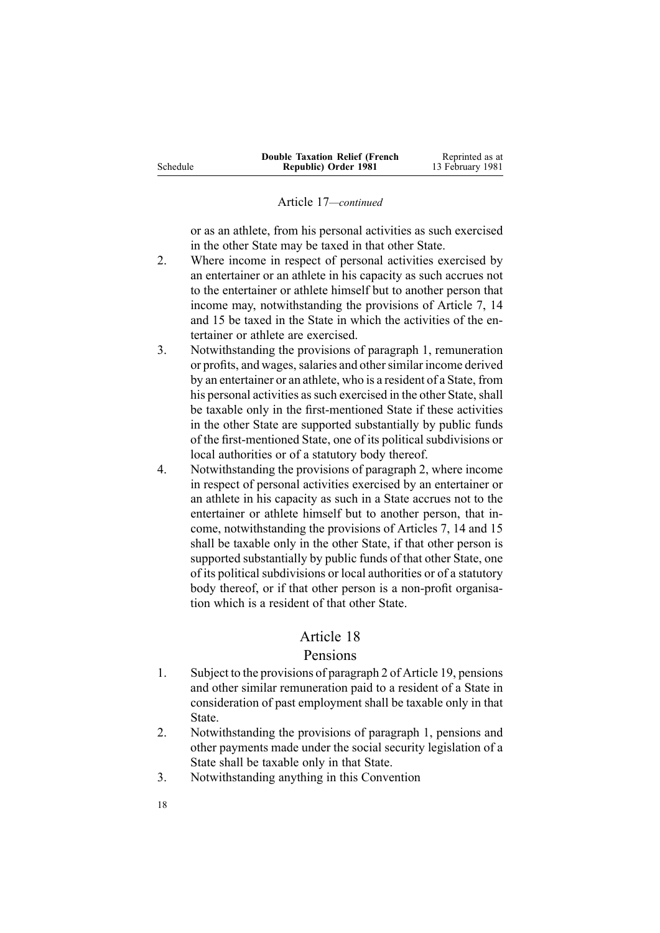|          | <b>Double Taxation Relief (French)</b> | Reprinted as at  |
|----------|----------------------------------------|------------------|
| Schedule | Republic) Order 1981                   | 13 February 1981 |

#### Article 17*—continued*

or as an athlete, from his personal activities as such exercised in the other State may be taxed in that other State.

- 2. Where income in respec<sup>t</sup> of personal activities exercised by an entertainer or an athlete in his capacity as such accrues not to the entertainer or athlete himself but to another person that income may, notwithstanding the provisions of Article 7, 14 and 15 be taxed in the State in which the activities of the entertainer or athlete are exercised.
- 3. Notwithstanding the provisions of paragraph 1, remuneration or profits, and wages, salaries and other similar income derived by an entertainer or an athlete, who is <sup>a</sup> resident of <sup>a</sup> State, from his personal activities as such exercised in the other State, shall be taxable only in the first-mentioned State if these activities in the other State are supported substantially by public funds of the first-mentioned State, one of its political subdivisions or local authorities or of <sup>a</sup> statutory body thereof.
- 4. Notwithstanding the provisions of paragraph 2, where income in respec<sup>t</sup> of personal activities exercised by an entertainer or an athlete in his capacity as such in <sup>a</sup> State accrues not to the entertainer or athlete himself but to another person, that income, notwithstanding the provisions of Articles 7, 14 and 15 shall be taxable only in the other State, if that other person is supported substantially by public funds of that other State, one of its political subdivisions or local authorities or of a statutory body thereof, or if that other person is <sup>a</sup> non-profit organisation which is <sup>a</sup> resident of that other State.

## Article 18

#### Pensions

- 1. Subject to the provisions of paragraph 2 of Article 19, pensions and other similar remuneration paid to <sup>a</sup> resident of <sup>a</sup> State in consideration of pas<sup>t</sup> employment shall be taxable only in that State.
- 2. Notwithstanding the provisions of paragraph 1, pensions and other payments made under the social security legislation of <sup>a</sup> State shall be taxable only in that State.
- 3. Notwithstanding anything in this Convention
- 18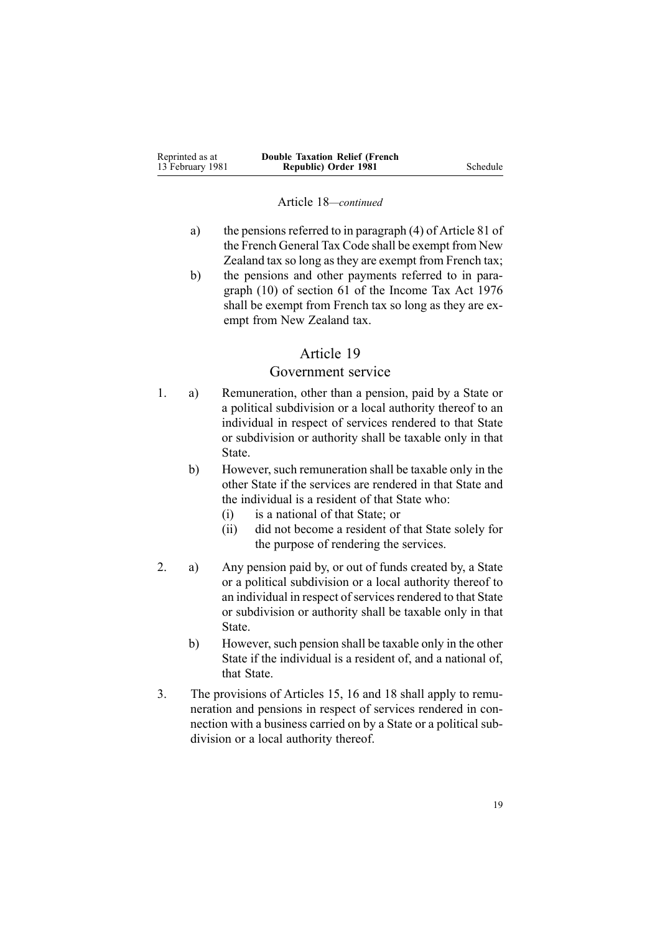| Reprinted as at  | <b>Double Taxation Relief (French)</b> |          |
|------------------|----------------------------------------|----------|
| 13 February 1981 | Republic) Order 1981                   | Schedule |

#### Article 18*—continued*

- a) the pensions referred to in paragraph  $(4)$  of Article 81 of the French General Tax Code shall be exemp<sup>t</sup> from New Zealand tax so long asthey are exemp<sup>t</sup> from French tax;
- b) the pensions and other payments referred to in paragraph (10) of section 61 of the Income Tax Act 1976 shall be exemp<sup>t</sup> from French tax so long as they are exemp<sup>t</sup> from New Zealand tax.

#### Article 19

## Government service

- 1. a) Remuneration, other than <sup>a</sup> pension, paid by <sup>a</sup> State or <sup>a</sup> political subdivision or <sup>a</sup> local authority thereof to an individual in respec<sup>t</sup> of services rendered to that State or subdivision or authority shall be taxable only in that State.
	- b) However, such remuneration shall be taxable only in the other State if the services are rendered in that State and the individual is <sup>a</sup> resident of that State who:
		- (i) is <sup>a</sup> national of that State; or
		- (ii) did not become <sup>a</sup> resident of that State solely for the purpose of rendering the services.
- 2. a) Any pension paid by, or out of funds created by, <sup>a</sup> State or <sup>a</sup> political subdivision or <sup>a</sup> local authority thereof to an individual in respect of services rendered to that State or subdivision or authority shall be taxable only in that State.
	- b) However, such pension shall be taxable only in the other State if the individual is <sup>a</sup> resident of, and <sup>a</sup> national of, that State.
- 3. The provisions of Articles 15, 16 and 18 shall apply to remuneration and pensions in respec<sup>t</sup> of services rendered in connection with <sup>a</sup> business carried on by <sup>a</sup> State or <sup>a</sup> political subdivision or <sup>a</sup> local authority thereof.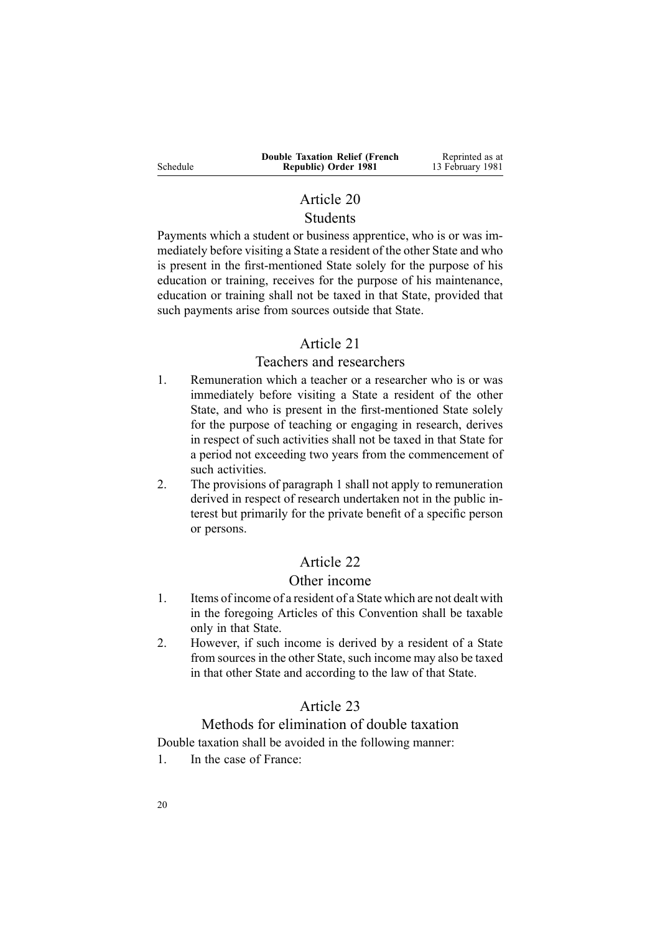|          | <b>Double Taxation Relief (French</b> | Reprinted as at  |
|----------|---------------------------------------|------------------|
| Schedule | Republic) Order 1981                  | 13 February 1981 |

# Article 20 Students

Payments which <sup>a</sup> student or business apprentice, who is or was immediately before visiting <sup>a</sup> State <sup>a</sup> resident of the other State and who is presen<sup>t</sup> in the first-mentioned State solely for the purpose of his education or training, receives for the purpose of his maintenance, education or training shall not be taxed in that State, provided that such payments arise from sources outside that State.

# Article 21

## Teachers and researchers

- 1. Remuneration which <sup>a</sup> teacher or <sup>a</sup> researcher who is or was immediately before visiting <sup>a</sup> State <sup>a</sup> resident of the other State, and who is presen<sup>t</sup> in the first-mentioned State solely for the purpose of teaching or engaging in research, derives in respec<sup>t</sup> of such activities shall not be taxed in that State for <sup>a</sup> period not exceeding two years from the commencement of such activities.
- 2. The provisions of paragraph 1 shall not apply to remuneration derived in respec<sup>t</sup> of research undertaken not in the public interest but primarily for the private benefit of <sup>a</sup> specific person or persons.

# Article 22

# Other income

- 1. Items of income of <sup>a</sup> resident of <sup>a</sup> State which are not dealt with in the foregoing Articles of this Convention shall be taxable only in that State.
- 2. However, if such income is derived by <sup>a</sup> resident of <sup>a</sup> State from sources in the other State, such income may also be taxed in that other State and according to the law of that State.

# Article 23

# Methods for elimination of double taxation

Double taxation shall be avoided in the following manner:

1. In the case of France: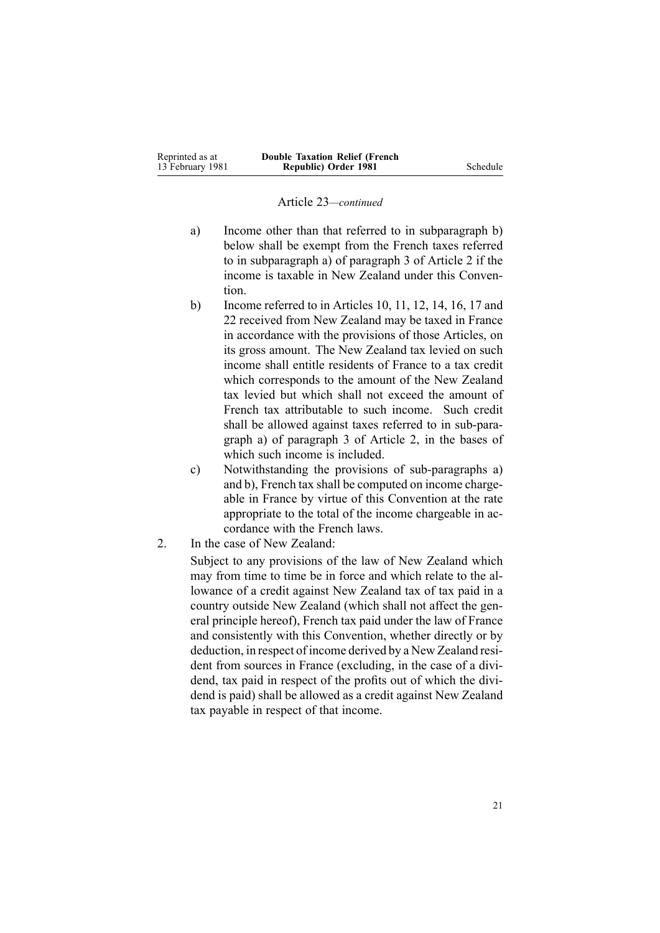#### Article 23*—continued*

- a) Income other than that referred to in subparagraph b) below shall be exemp<sup>t</sup> from the French taxes referred to in subparagraph a) of paragraph 3 of Article 2 if the income is taxable in New Zealand under this Convention.
- b) Income referred to in Articles 10, 11, 12, 14, 16, 17 and 22 received from New Zealand may be taxed in France in accordance with the provisions of those Articles, on its gross amount. The New Zealand tax levied on such income shall entitle residents of France to <sup>a</sup> tax credit which corresponds to the amount of the New Zealand tax levied but which shall not exceed the amount of French tax attributable to such income. Such credit shall be allowed against taxes referred to in sub-paragraph a) of paragraph 3 of Article 2, in the bases of which such income is included.
- c) Notwithstanding the provisions of sub-paragraphs a) and b), French tax shall be computed on income chargeable in France by virtue of this Convention at the rate appropriate to the total of the income chargeable in accordance with the French laws.
- 2. In the case of New Zealand:

Subject to any provisions of the law of New Zealand which may from time to time be in force and which relate to the allowance of <sup>a</sup> credit against New Zealand tax of tax paid in <sup>a</sup> country outside New Zealand (which shall not affect the general principle hereof), French tax paid under the law of France and consistently with this Convention, whether directly or by deduction, in respec<sup>t</sup> of income derived by <sup>a</sup> New Zealand resident from sources in France (excluding, in the case of <sup>a</sup> dividend, tax paid in respec<sup>t</sup> of the profits out of which the dividend is paid) shall be allowed as <sup>a</sup> credit against New Zealand tax payable in respec<sup>t</sup> of that income.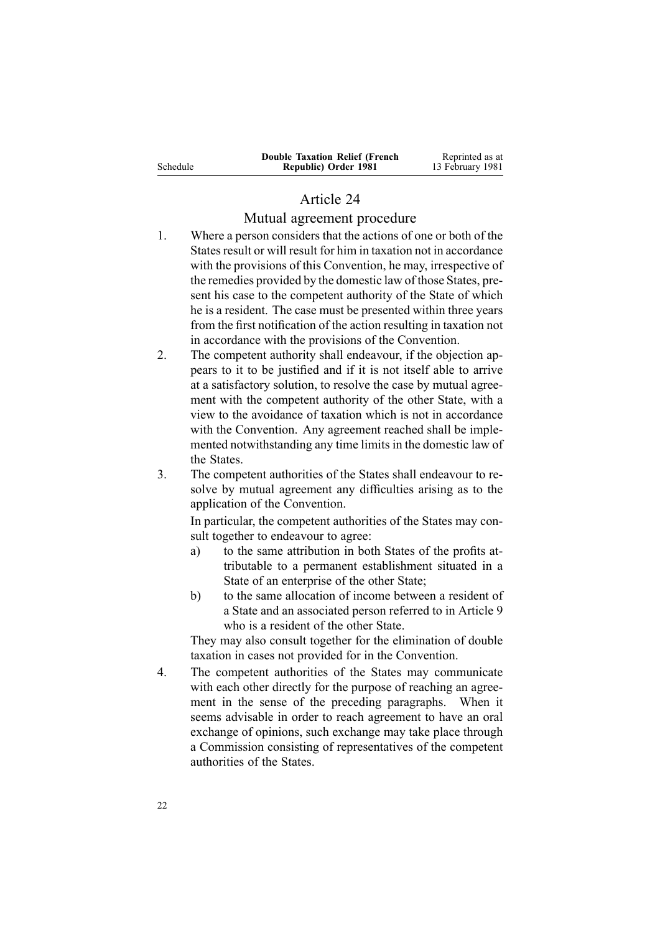|          | <b>Double Taxation Relief (French)</b> | Reprinted as at  |
|----------|----------------------------------------|------------------|
| Schedule | Republic) Order 1981                   | 13 February 1981 |

# Article 24

#### Mutual agreemen<sup>t</sup> procedure

- 1. Where <sup>a</sup> person considers that the actions of one or both of the States result or will result for him in taxation not in accordance with the provisions of this Convention, he may, irrespective of the remedies provided by the domestic law of those States, present his case to the competent authority of the State of which he is <sup>a</sup> resident. The case must be presented within three years from the first notification of the action resulting in taxation not in accordance with the provisions of the Convention.
- 2. The competent authority shall endeavour, if the objection appears to it to be justified and if it is not itself able to arrive at <sup>a</sup> satisfactory solution, to resolve the case by mutual agreement with the competent authority of the other State, with <sup>a</sup> view to the avoidance of taxation which is not in accordance with the Convention. Any agreement reached shall be implemented notwithstanding any time limits in the domestic law of the States.
- 3. The competent authorities of the States shall endeavour to resolve by mutual agreemen<sup>t</sup> any difficulties arising as to the application of the Convention.

In particular, the competent authorities of the States may consult together to endeavour to agree:

- a) to the same attribution in both States of the profits attributable to <sup>a</sup> permanen<sup>t</sup> establishment situated in <sup>a</sup> State of an enterprise of the other State;
- b) to the same allocation of income between <sup>a</sup> resident of <sup>a</sup> State and an associated person referred to in Article 9 who is <sup>a</sup> resident of the other State.

They may also consult together for the elimination of double taxation in cases not provided for in the Convention.

4. The competent authorities of the States may communicate with each other directly for the purpose of reaching an agreement in the sense of the preceding paragraphs. When it seems advisable in order to reach agreemen<sup>t</sup> to have an oral exchange of opinions, such exchange may take place through <sup>a</sup> Commission consisting of representatives of the competent authorities of the States.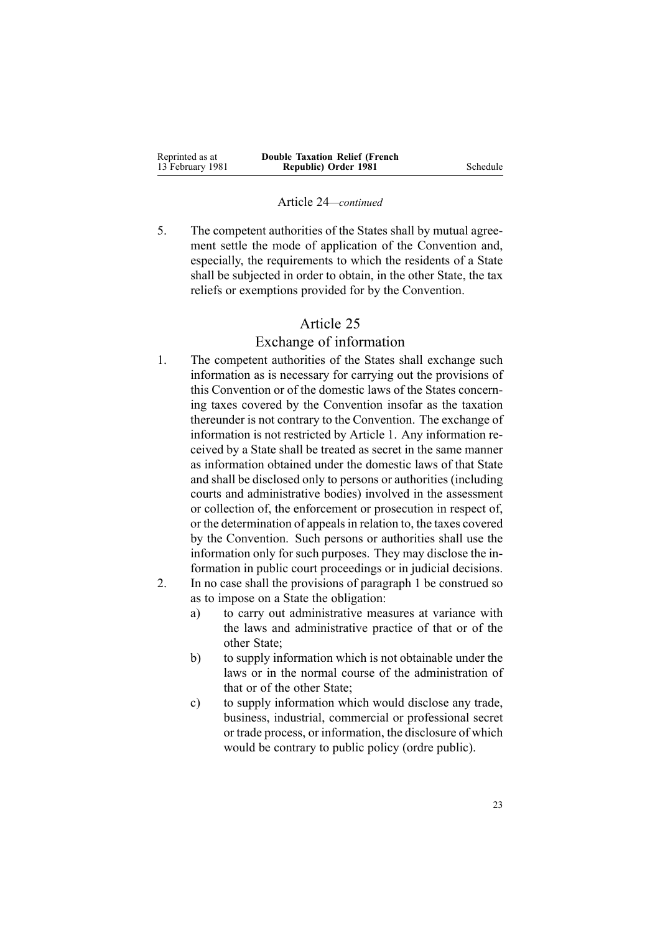| Reprinted as at  | <b>Double Taxation Relief (French)</b> |          |
|------------------|----------------------------------------|----------|
| 13 February 1981 | Republic) Order 1981                   | Schedule |

#### Article 24*—continued*

5. The competent authorities of the States shall by mutual agreement settle the mode of application of the Convention and, especially, the requirements to which the residents of <sup>a</sup> State shall be subjected in order to obtain, in the other State, the tax reliefs or exemptions provided for by the Convention.

# Article 25

### Exchange of information

- 1. The competent authorities of the States shall exchange such information as is necessary for carrying out the provisions of this Convention or of the domestic laws of the States concerning taxes covered by the Convention insofar as the taxation thereunder is not contrary to the Convention. The exchange of information is not restricted by Article 1. Any information received by <sup>a</sup> State shall be treated as secret in the same manner as information obtained under the domestic laws of that State and shall be disclosed only to persons or authorities (including courts and administrative bodies) involved in the assessment or collection of, the enforcement or prosecution in respec<sup>t</sup> of, or the determination of appeals in relation to, the taxes covered by the Convention. Such persons or authorities shall use the information only for such purposes. They may disclose the information in public court proceedings or in judicial decisions.
- 2. In no case shall the provisions of paragraph 1 be construed so as to impose on <sup>a</sup> State the obligation:
	- a) to carry out administrative measures at variance with the laws and administrative practice of that or of the other State;
	- b) to supply information which is not obtainable under the laws or in the normal course of the administration of that or of the other State;
	- c) to supply information which would disclose any trade, business, industrial, commercial or professional secret or trade process, or information, the disclosure of which would be contrary to public policy (ordre public).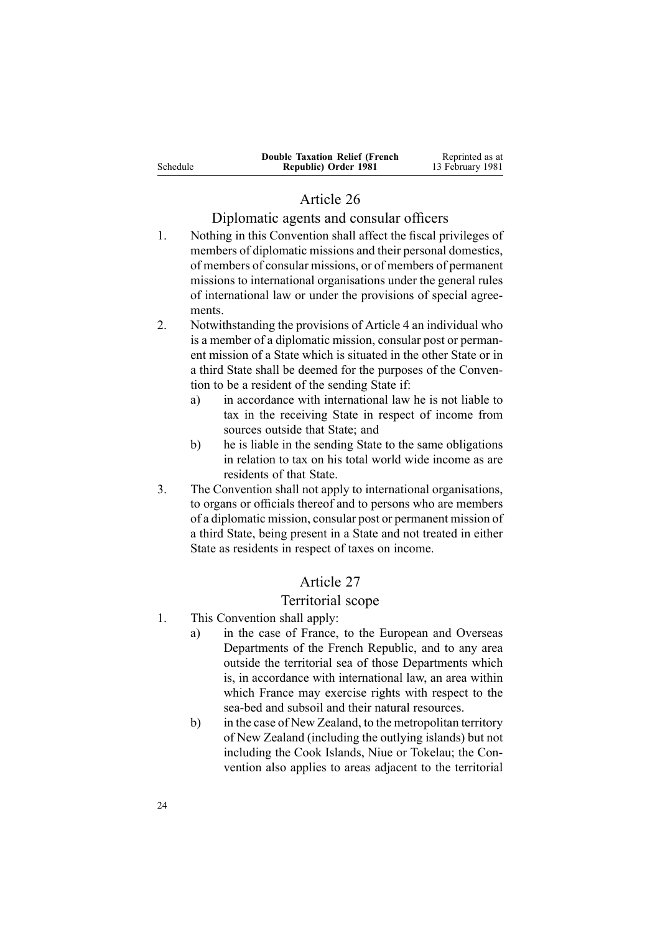|          | <b>Double Taxation Relief (French)</b> | Reprinted as at  |
|----------|----------------------------------------|------------------|
| Schedule | Republic) Order 1981                   | 13 February 1981 |

# Article 26

## Diplomatic agents and consular officers

- 1. Nothing in this Convention shall affect the fiscal privileges of members of diplomatic missions and their personal domestics, of members of consular missions, or of members of permanen<sup>t</sup> missions to international organisations under the general rules of international law or under the provisions of special agreements.
- 2. Notwithstanding the provisions of Article 4 an individual who is <sup>a</sup> member of <sup>a</sup> diplomatic mission, consular pos<sup>t</sup> or permanent mission of <sup>a</sup> State which is situated in the other State or in <sup>a</sup> third State shall be deemed for the purposes of the Convention to be <sup>a</sup> resident of the sending State if:
	- a) in accordance with international law he is not liable to tax in the receiving State in respec<sup>t</sup> of income from sources outside that State; and
	- b) he is liable in the sending State to the same obligations in relation to tax on his total world wide income as are residents of that State.
- 3. The Convention shall not apply to international organisations, to organs or officials thereof and to persons who are members of <sup>a</sup> diplomatic mission, consular pos<sup>t</sup> or permanen<sup>t</sup> mission of <sup>a</sup> third State, being presen<sup>t</sup> in <sup>a</sup> State and not treated in either State as residents in respec<sup>t</sup> of taxes on income.

# Article 27

# Territorial scope

- 1. This Convention shall apply:
	- a) in the case of France, to the European and Overseas Departments of the French Republic, and to any area outside the territorial sea of those Departments which is, in accordance with international law, an area within which France may exercise rights with respec<sup>t</sup> to the sea-bed and subsoil and their natural resources.
	- b) in the case of New Zealand, to the metropolitan territory of New Zealand (including the outlying islands) but not including the Cook Islands, Niue or Tokelau; the Convention also applies to areas adjacent to the territorial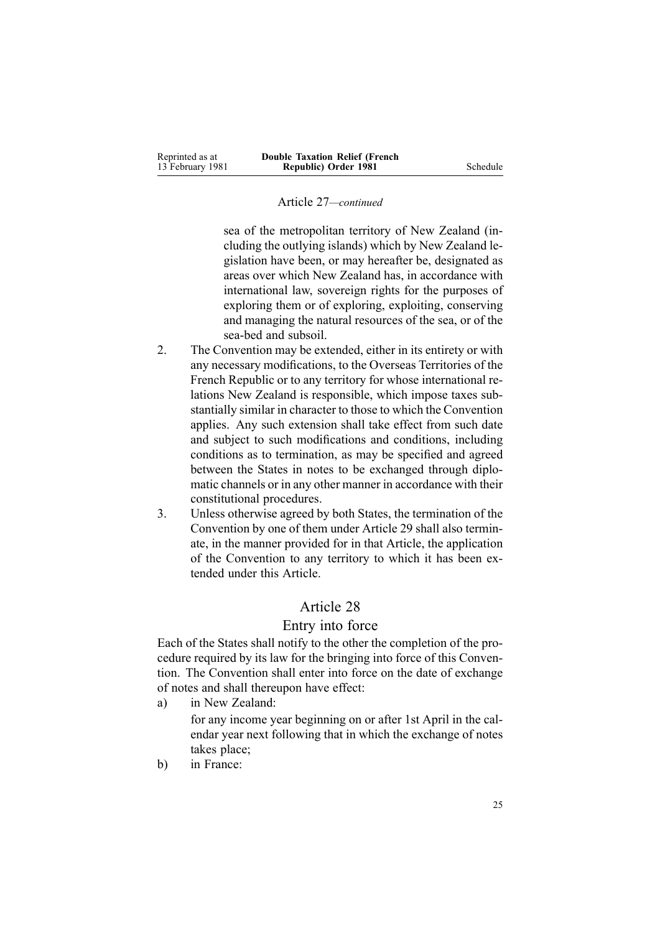#### Article 27*—continued*

sea of the metropolitan territory of New Zealand (including the outlying islands) which by New Zealand legislation have been, or may hereafter be, designated as areas over which New Zealand has, in accordance with international law, sovereign rights for the purposes of exploring them or of exploring, exploiting, conserving and managing the natural resources of the sea, or of the sea-bed and subsoil.

- 2. The Convention may be extended, either in its entirety or with any necessary modifications, to the Overseas Territories of the French Republic or to any territory for whose international relations New Zealand is responsible, which impose taxes substantially similar in character to those to which the Convention applies. Any such extension shall take effect from such date and subject to such modifications and conditions, including conditions as to termination, as may be specified and agreed between the States in notes to be exchanged through diplomatic channels or in any other manner in accordance with their constitutional procedures.
- 3. Unless otherwise agreed by both States, the termination of the Convention by one of them under Article 29 shall also terminate, in the manner provided for in that Article, the application of the Convention to any territory to which it has been extended under this Article.

## Article 28

## Entry into force

Each of the States shall notify to the other the completion of the procedure required by its law for the bringing into force of this Convention. The Convention shall enter into force on the date of exchange of notes and shall thereupon have effect:

a) in New Zealand:

for any income year beginning on or after 1st April in the calendar year next following that in which the exchange of notes takes place;

b) in France: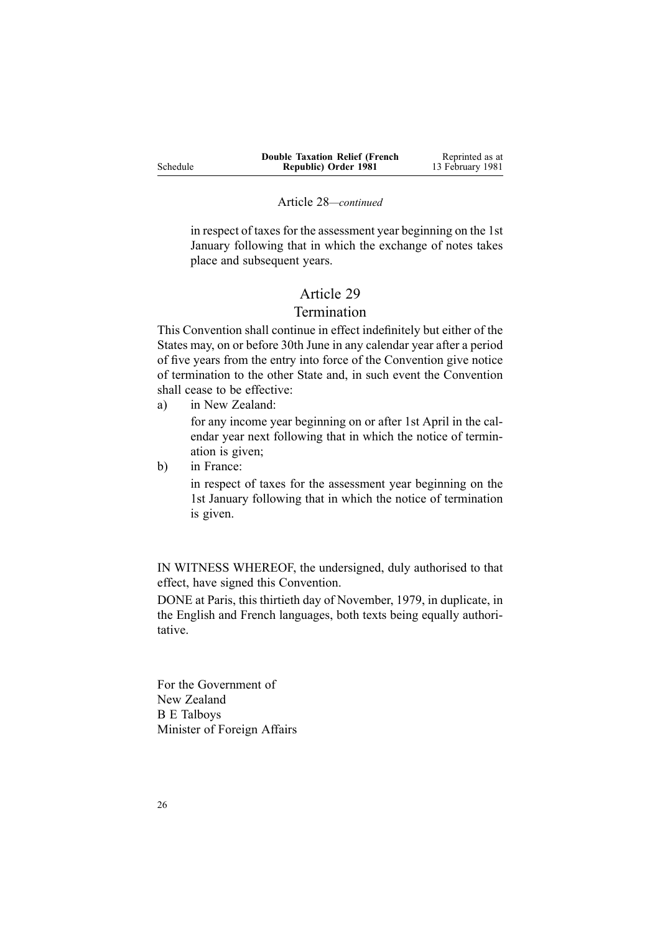|          | <b>Double Taxation Relief (French)</b> | Reprinted as at  |
|----------|----------------------------------------|------------------|
| Schedule | Republic) Order 1981                   | 13 February 1981 |

#### Article 28*—continued*

in respec<sup>t</sup> of taxes for the assessment year beginning on the 1st January following that in which the exchange of notes takes place and subsequent years.

# Article 29

# Termination

This Convention shall continue in effect indefinitely but either of the States may, on or before 30th June in any calendar year after <sup>a</sup> period of five years from the entry into force of the Convention give notice of termination to the other State and, in such event the Convention shall cease to be effective:

a) in New Zealand:

for any income year beginning on or after 1st April in the calendar year next following that in which the notice of termination is given;

b) in France:

in respec<sup>t</sup> of taxes for the assessment year beginning on the 1st January following that in which the notice of termination is given.

IN WITNESS WHEREOF, the undersigned, duly authorised to that effect, have signed this Convention.

DONE at Paris, this thirtieth day of November, 1979, in duplicate, in the English and French languages, both texts being equally authoritative.

For the Government of New Zealand B E Talboys Minister of Foreign Affairs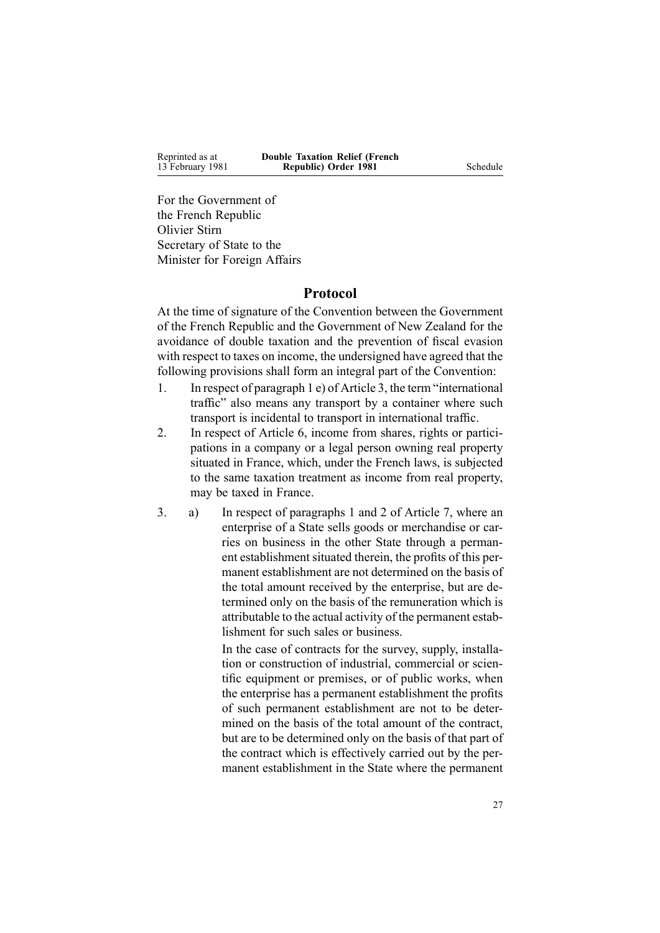Reprinted as at 13 February 1981 **Double Taxation Relief (French Republic) Order 1981** Schedule

For the Government of the French Republic Olivier Stirn Secretary of State to the Minister for Foreign Affairs

## **Protocol**

At the time of signature of the Convention between the Government of the French Republic and the Government of New Zealand for the avoidance of double taxation and the prevention of fiscal evasion with respec<sup>t</sup> to taxes on income, the undersigned have agreed that the following provisions shall form an integral par<sup>t</sup> of the Convention:

- 1. In respec<sup>t</sup> of paragraph 1 e) of Article 3, the term "international traffic" also means any transport by <sup>a</sup> container where such transport is incidental to transport in international traffic.
- 2. In respec<sup>t</sup> of Article 6, income from shares, rights or participations in <sup>a</sup> company or <sup>a</sup> legal person owning real property situated in France, which, under the French laws, is subjected to the same taxation treatment as income from real property, may be taxed in France.
- 3. a) In respec<sup>t</sup> of paragraphs 1 and 2 of Article 7, where an enterprise of <sup>a</sup> State sells goods or merchandise or carries on business in the other State through <sup>a</sup> permanent establishment situated therein, the profits of this permanent establishment are not determined on the basis of the total amount received by the enterprise, but are determined only on the basis of the remuneration which is attributable to the actual activity of the permanen<sup>t</sup> establishment for such sales or business.

In the case of contracts for the survey, supply, installation or construction of industrial, commercial or scientific equipment or premises, or of public works, when the enterprise has <sup>a</sup> permanen<sup>t</sup> establishment the profits of such permanen<sup>t</sup> establishment are not to be determined on the basis of the total amount of the contract, but are to be determined only on the basis of that par<sup>t</sup> of the contract which is effectively carried out by the permanent establishment in the State where the permanen<sup>t</sup>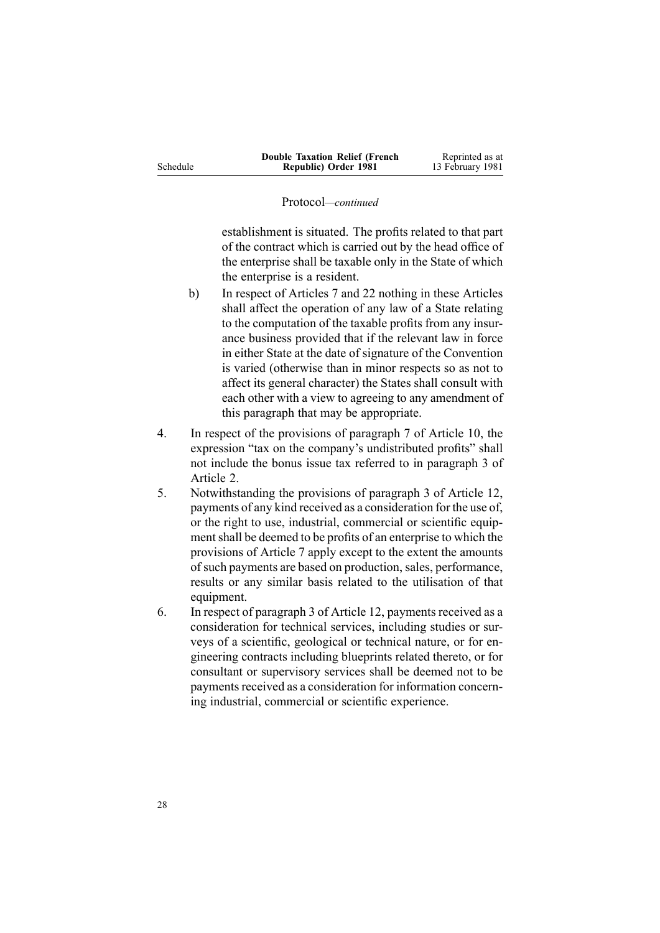|          | <b>Double Taxation Relief (French</b> | Reprinted as at  |
|----------|---------------------------------------|------------------|
| Schedule | Republic) Order 1981                  | 13 February 1981 |

#### Protocol*—continued*

establishment is situated. The profits related to that par<sup>t</sup> of the contract which is carried out by the head office of the enterprise shall be taxable only in the State of which the enterprise is <sup>a</sup> resident.

- b) In respec<sup>t</sup> of Articles 7 and 22 nothing in these Articles shall affect the operation of any law of <sup>a</sup> State relating to the computation of the taxable profits from any insurance business provided that if the relevant law in force in either State at the date of signature of the Convention is varied (otherwise than in minor respects so as not to affect its general character) the States shall consult with each other with <sup>a</sup> view to agreeing to any amendment of this paragraph that may be appropriate.
- 4. In respec<sup>t</sup> of the provisions of paragraph 7 of Article 10, the expression "tax on the company's undistributed profits" shall not include the bonus issue tax referred to in paragraph 3 of Article 2.
- 5. Notwithstanding the provisions of paragraph 3 of Article 12, payments of any kind received as <sup>a</sup> consideration for the use of, or the right to use, industrial, commercial or scientific equipment shall be deemed to be profits of an enterprise to which the provisions of Article 7 apply excep<sup>t</sup> to the extent the amounts ofsuch payments are based on production, sales, performance, results or any similar basis related to the utilisation of that equipment.
- 6. In respec<sup>t</sup> of paragraph 3 of Article 12, payments received as <sup>a</sup> consideration for technical services, including studies or surveys of <sup>a</sup> scientific, geological or technical nature, or for engineering contracts including blueprints related thereto, or for consultant or supervisory services shall be deemed not to be payments received as a consideration for information concerning industrial, commercial or scientific experience.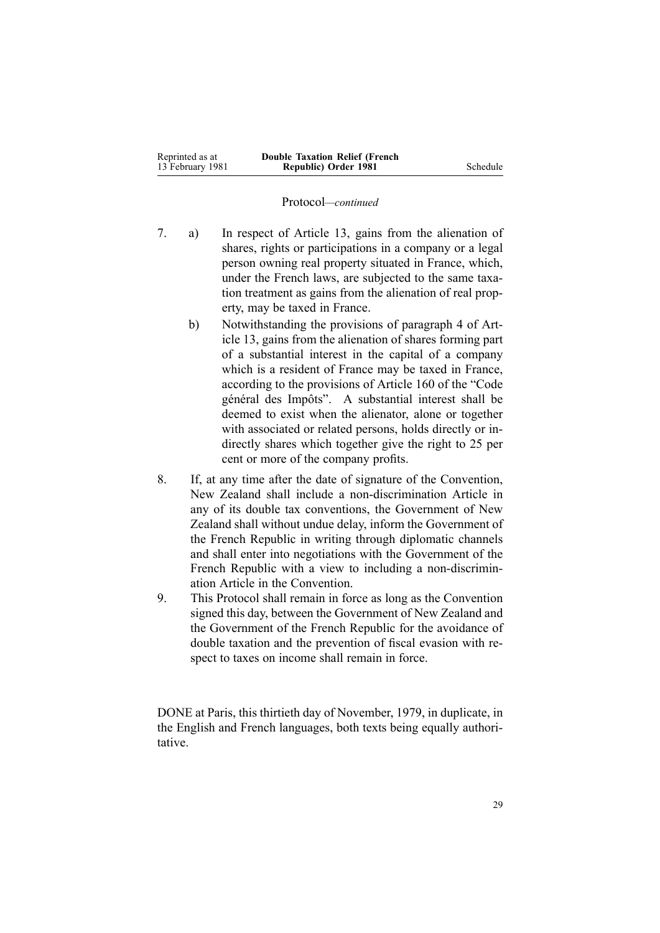| Reprinted as at  | <b>Double Taxation Relief (French)</b> |          |
|------------------|----------------------------------------|----------|
| 13 February 1981 | Republic) Order 1981                   | Schedule |

#### Protocol*—continued*

- 7. a) In respec<sup>t</sup> of Article 13, gains from the alienation of shares, rights or participations in <sup>a</sup> company or <sup>a</sup> legal person owning real property situated in France, which, under the French laws, are subjected to the same taxation treatment as gains from the alienation of real property, may be taxed in France.
	- b) Notwithstanding the provisions of paragraph 4 of Article 13, gains from the alienation of shares forming par<sup>t</sup> of <sup>a</sup> substantial interest in the capital of <sup>a</sup> company which is <sup>a</sup> resident of France may be taxed in France, according to the provisions of Article 160 of the "Code général des Impôts". A substantial interest shall be deemed to exist when the alienator, alone or together with associated or related persons, holds directly or indirectly shares which together give the right to 25 per cent or more of the company profits.
- 8. If, at any time after the date of signature of the Convention, New Zealand shall include <sup>a</sup> non-discrimination Article in any of its double tax conventions, the Government of New Zealand shall without undue delay, inform the Government of the French Republic in writing through diplomatic channels and shall enter into negotiations with the Government of the French Republic with <sup>a</sup> view to including <sup>a</sup> non-discrimination Article in the Convention.
- 9. This Protocol shall remain in force as long as the Convention signed this day, between the Government of New Zealand and the Government of the French Republic for the avoidance of double taxation and the prevention of fiscal evasion with respec<sup>t</sup> to taxes on income shall remain in force.

DONE at Paris, this thirtieth day of November, 1979, in duplicate, in the English and French languages, both texts being equally authoritative.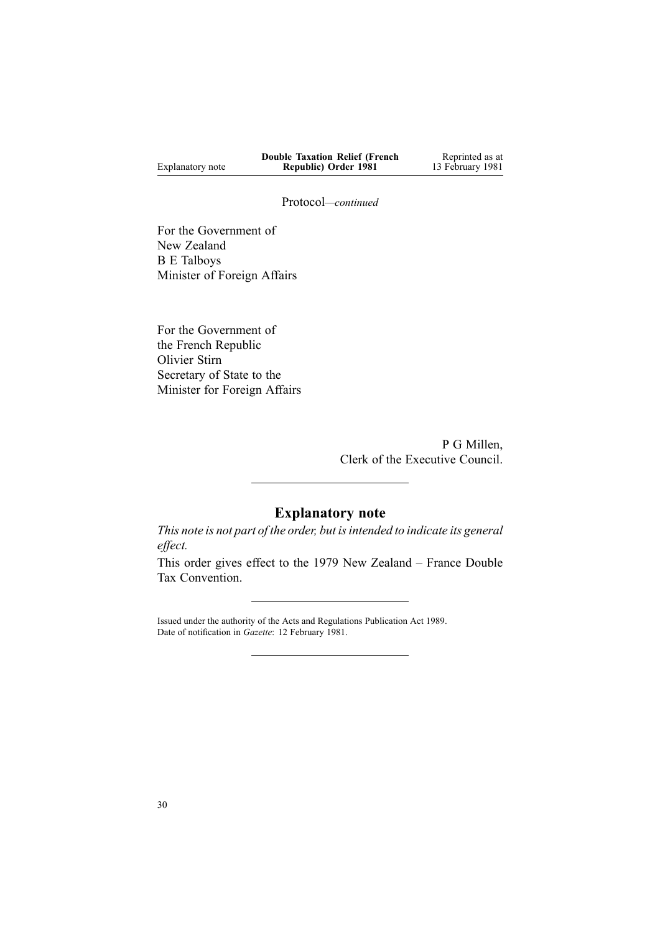|                  | <b>Double Taxation Relief (French</b> | Reprinted as at  |
|------------------|---------------------------------------|------------------|
| Explanatory note | Republic) Order 1981                  | 13 February 1981 |

Protocol*—continued*

For the Government of New Zealand B E Talboys Minister of Foreign Affairs

For the Government of the French Republic Olivier Stirn Secretary of State to the Minister for Foreign Affairs

> P G Millen, Clerk of the Executive Council.

# **Explanatory note**

*This note is not par<sup>t</sup> of the order, but isintended to indicate its general effect.*

This order gives effect to the 1979 New Zealand – France Double Tax Convention.

Issued under the authority of the Acts and [Regulations](http://www.legislation.govt.nz/pdflink.aspx?id=DLM195097) Publication Act 1989. Date of notification in *Gazette*: 12 February 1981.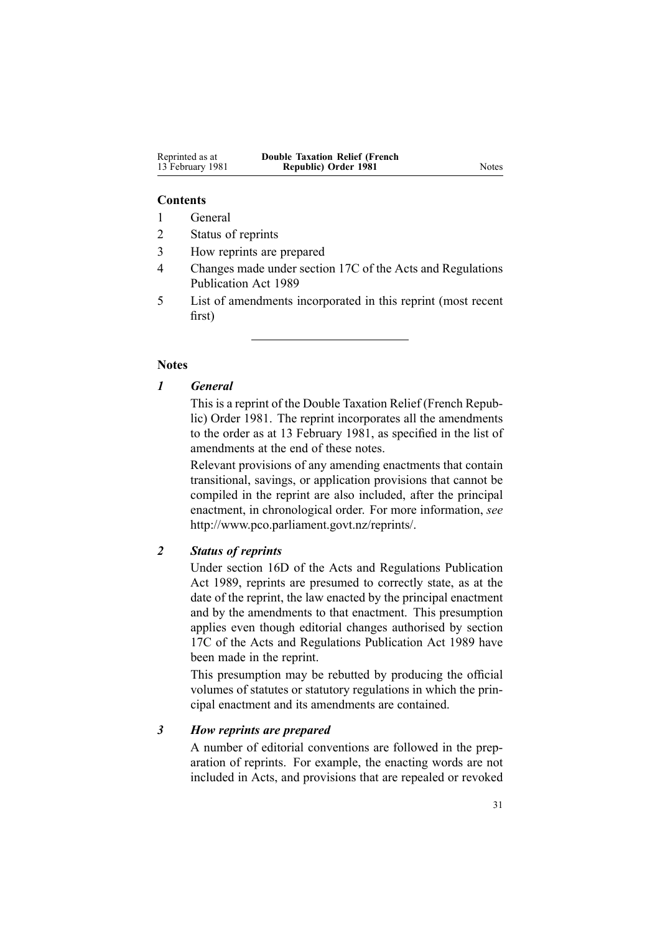| Reprinted as at  | <b>Double Taxation Relief (French</b> |       |
|------------------|---------------------------------------|-------|
| 13 February 1981 | Republic) Order 1981                  | Notes |

#### **Contents**

1 General

- 2 Status of reprints
- 3 How reprints are prepared
- 4 Changes made under section 17C of the Acts and Regulations Publication Act 1989
- 5 List of amendments incorporated in this reprint (most recent first)

#### **Notes**

## *1 General*

This is <sup>a</sup> reprint of the Double Taxation Relief (French Republic) Order 1981. The reprint incorporates all the amendments to the order as at 13 February 1981, as specified in the list of amendments at the end of these notes.

Relevant provisions of any amending enactments that contain transitional, savings, or application provisions that cannot be compiled in the reprint are also included, after the principal enactment, in chronological order. For more information, *see* <http://www.pco.parliament.govt.nz/reprints/>.

### *2 Status of reprints*

Under [section](http://www.legislation.govt.nz/pdflink.aspx?id=DLM195439) 16D of the Acts and Regulations Publication Act 1989, reprints are presumed to correctly state, as at the date of the reprint, the law enacted by the principal enactment and by the amendments to that enactment. This presumption applies even though editorial changes authorised by [section](http://www.legislation.govt.nz/pdflink.aspx?id=DLM195466) [17C](http://www.legislation.govt.nz/pdflink.aspx?id=DLM195466) of the Acts and Regulations Publication Act 1989 have been made in the reprint.

This presumption may be rebutted by producing the official volumes of statutes or statutory regulations in which the principal enactment and its amendments are contained.

#### *3 How reprints are prepared*

A number of editorial conventions are followed in the preparation of reprints. For example, the enacting words are not included in Acts, and provisions that are repealed or revoked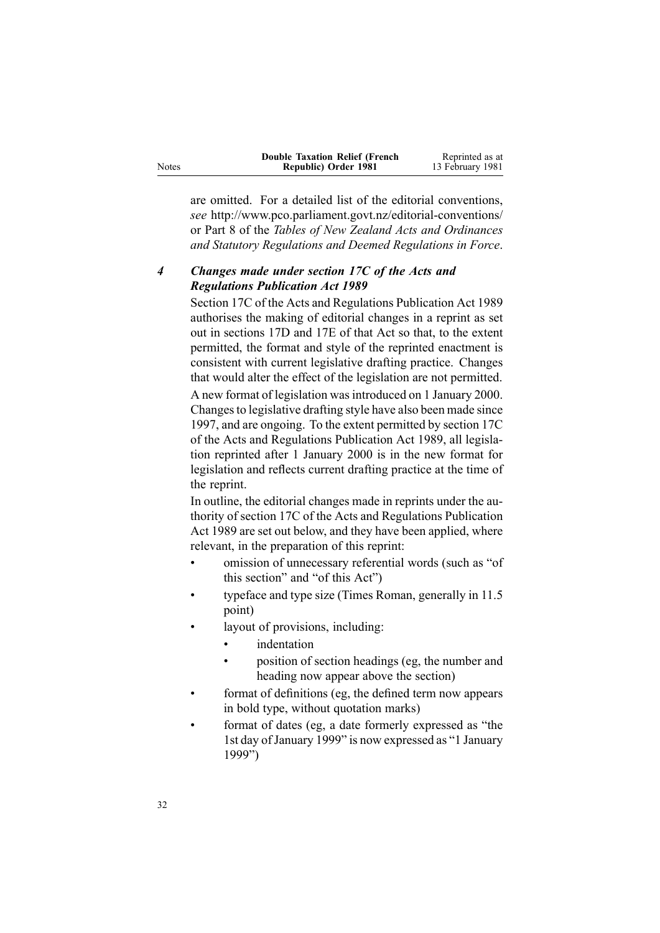|              | <b>Double Taxation Relief (French)</b> | Reprinted as at  |
|--------------|----------------------------------------|------------------|
| <b>Notes</b> | Republic) Order 1981                   | 13 February 1981 |

are omitted. For <sup>a</sup> detailed list of the editorial conventions, *see* <http://www.pco.parliament.govt.nz/editorial-conventions/> or Part 8 of the *Tables of New Zealand Acts and Ordinances and Statutory Regulations and Deemed Regulations in Force*.

## *4 Changes made under section 17C of the Acts and Regulations Publication Act 1989*

[Section](http://www.legislation.govt.nz/pdflink.aspx?id=DLM195466) 17C of the Acts and Regulations Publication Act 1989 authorises the making of editorial changes in <sup>a</sup> reprint as set out in [sections](http://www.legislation.govt.nz/pdflink.aspx?id=DLM195468) 17D and [17E](http://www.legislation.govt.nz/pdflink.aspx?id=DLM195470) of that Act so that, to the extent permitted, the format and style of the reprinted enactment is consistent with current legislative drafting practice. Changes that would alter the effect of the legislation are not permitted.

A new format of legislation wasintroduced on 1 January 2000. Changesto legislative drafting style have also been made since 1997, and are ongoing. To the extent permitted by [section](http://www.legislation.govt.nz/pdflink.aspx?id=DLM195466) 17C of the Acts and Regulations Publication Act 1989, all legislation reprinted after 1 January 2000 is in the new format for legislation and reflects current drafting practice at the time of the reprint.

In outline, the editorial changes made in reprints under the authority of [section](http://www.legislation.govt.nz/pdflink.aspx?id=DLM195466) 17C of the Acts and Regulations Publication Act 1989 are set out below, and they have been applied, where relevant, in the preparation of this reprint:

- • omission of unnecessary referential words (such as "of this section" and "of this Act")
- • typeface and type size (Times Roman, generally in 11.5 point)
- • layout of provisions, including:
	- •indentation
	- • position of section headings (eg, the number and heading now appear above the section)
- • format of definitions (eg, the defined term now appears in bold type, without quotation marks)
- • format of dates (eg, <sup>a</sup> date formerly expressed as "the 1st day of January 1999" is now expressed as "1 January 1999")